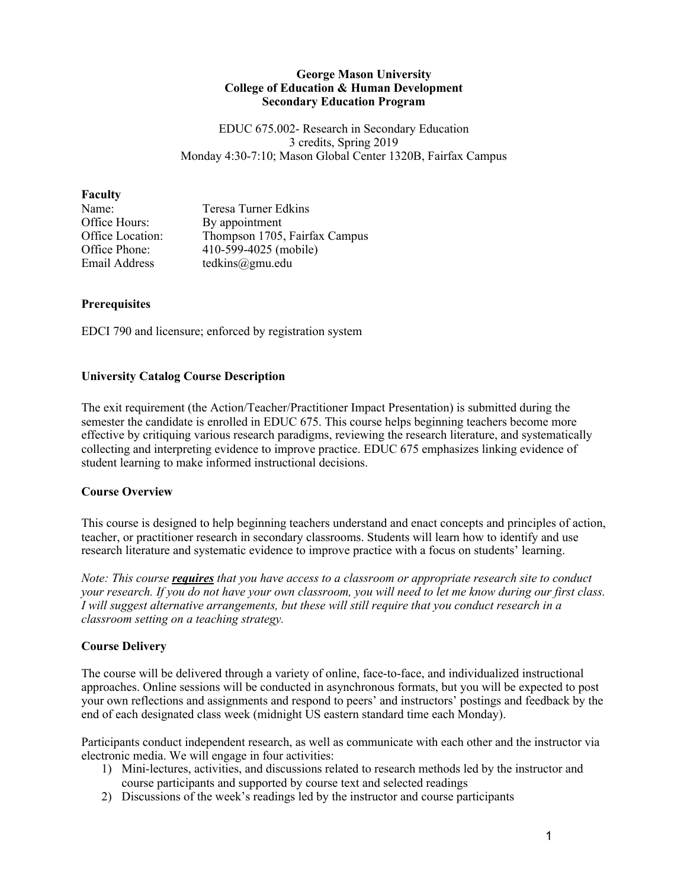### **George Mason University College of Education & Human Development Secondary Education Program**

EDUC 675.002- Research in Secondary Education 3 credits, Spring 2019 Monday 4:30-7:10; Mason Global Center 1320B, Fairfax Campus

**Faculty**

| Name:            | Teresa Turner Edkins          |
|------------------|-------------------------------|
| Office Hours:    | By appointment                |
| Office Location: | Thompson 1705, Fairfax Campus |
| Office Phone:    | 410-599-4025 (mobile)         |
| Email Address    | tedkins@gmu.edu               |

# **Prerequisites**

EDCI 790 and licensure; enforced by registration system

# **University Catalog Course Description**

The exit requirement (the Action/Teacher/Practitioner Impact Presentation) is submitted during the semester the candidate is enrolled in EDUC 675. This course helps beginning teachers become more effective by critiquing various research paradigms, reviewing the research literature, and systematically collecting and interpreting evidence to improve practice. EDUC 675 emphasizes linking evidence of student learning to make informed instructional decisions.

## **Course Overview**

This course is designed to help beginning teachers understand and enact concepts and principles of action, teacher, or practitioner research in secondary classrooms. Students will learn how to identify and use research literature and systematic evidence to improve practice with a focus on students' learning.

*Note: This course requires that you have access to a classroom or appropriate research site to conduct your research. If you do not have your own classroom, you will need to let me know during our first class. I will suggest alternative arrangements, but these will still require that you conduct research in a classroom setting on a teaching strategy.*

## **Course Delivery**

The course will be delivered through a variety of online, face-to-face, and individualized instructional approaches. Online sessions will be conducted in asynchronous formats, but you will be expected to post your own reflections and assignments and respond to peers' and instructors' postings and feedback by the end of each designated class week (midnight US eastern standard time each Monday).

Participants conduct independent research, as well as communicate with each other and the instructor via electronic media. We will engage in four activities:

- 1) Mini-lectures, activities, and discussions related to research methods led by the instructor and course participants and supported by course text and selected readings
- 2) Discussions of the week's readings led by the instructor and course participants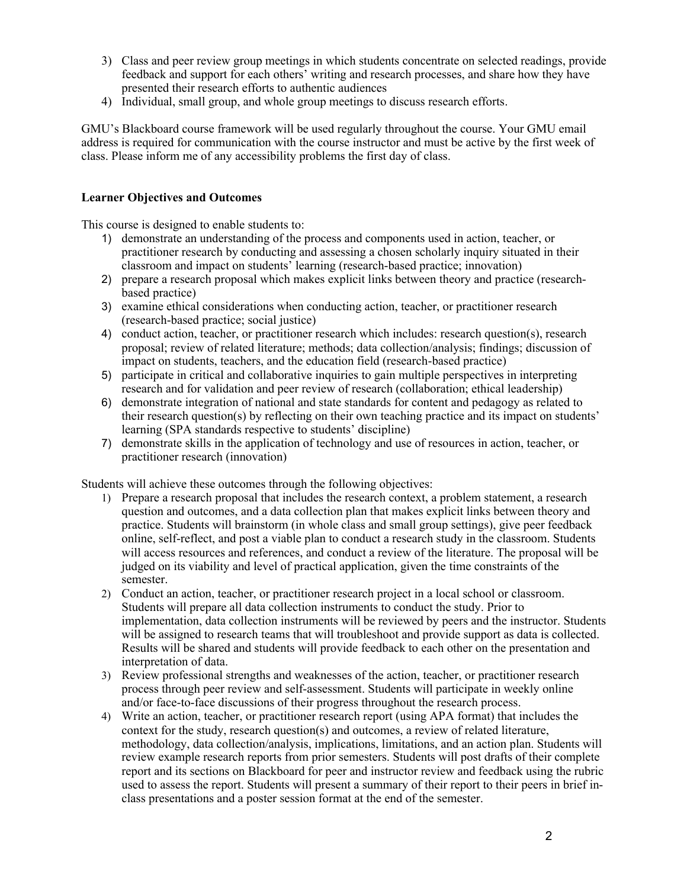- 3) Class and peer review group meetings in which students concentrate on selected readings, provide feedback and support for each others' writing and research processes, and share how they have presented their research efforts to authentic audiences
- 4) Individual, small group, and whole group meetings to discuss research efforts.

GMU's Blackboard course framework will be used regularly throughout the course. Your GMU email address is required for communication with the course instructor and must be active by the first week of class. Please inform me of any accessibility problems the first day of class.

# **Learner Objectives and Outcomes**

This course is designed to enable students to:

- 1) demonstrate an understanding of the process and components used in action, teacher, or practitioner research by conducting and assessing a chosen scholarly inquiry situated in their classroom and impact on students' learning (research-based practice; innovation)
- 2) prepare a research proposal which makes explicit links between theory and practice (researchbased practice)
- 3) examine ethical considerations when conducting action, teacher, or practitioner research (research-based practice; social justice)
- 4) conduct action, teacher, or practitioner research which includes: research question(s), research proposal; review of related literature; methods; data collection/analysis; findings; discussion of impact on students, teachers, and the education field (research-based practice)
- 5) participate in critical and collaborative inquiries to gain multiple perspectives in interpreting research and for validation and peer review of research (collaboration; ethical leadership)
- 6) demonstrate integration of national and state standards for content and pedagogy as related to their research question(s) by reflecting on their own teaching practice and its impact on students' learning (SPA standards respective to students' discipline)
- 7) demonstrate skills in the application of technology and use of resources in action, teacher, or practitioner research (innovation)

Students will achieve these outcomes through the following objectives:

- 1) Prepare a research proposal that includes the research context, a problem statement, a research question and outcomes, and a data collection plan that makes explicit links between theory and practice. Students will brainstorm (in whole class and small group settings), give peer feedback online, self-reflect, and post a viable plan to conduct a research study in the classroom. Students will access resources and references, and conduct a review of the literature. The proposal will be judged on its viability and level of practical application, given the time constraints of the semester.
- 2) Conduct an action, teacher, or practitioner research project in a local school or classroom. Students will prepare all data collection instruments to conduct the study. Prior to implementation, data collection instruments will be reviewed by peers and the instructor. Students will be assigned to research teams that will troubleshoot and provide support as data is collected. Results will be shared and students will provide feedback to each other on the presentation and interpretation of data.
- 3) Review professional strengths and weaknesses of the action, teacher, or practitioner research process through peer review and self-assessment. Students will participate in weekly online and/or face-to-face discussions of their progress throughout the research process.
- 4) Write an action, teacher, or practitioner research report (using APA format) that includes the context for the study, research question(s) and outcomes, a review of related literature, methodology, data collection/analysis, implications, limitations, and an action plan. Students will review example research reports from prior semesters. Students will post drafts of their complete report and its sections on Blackboard for peer and instructor review and feedback using the rubric used to assess the report. Students will present a summary of their report to their peers in brief inclass presentations and a poster session format at the end of the semester.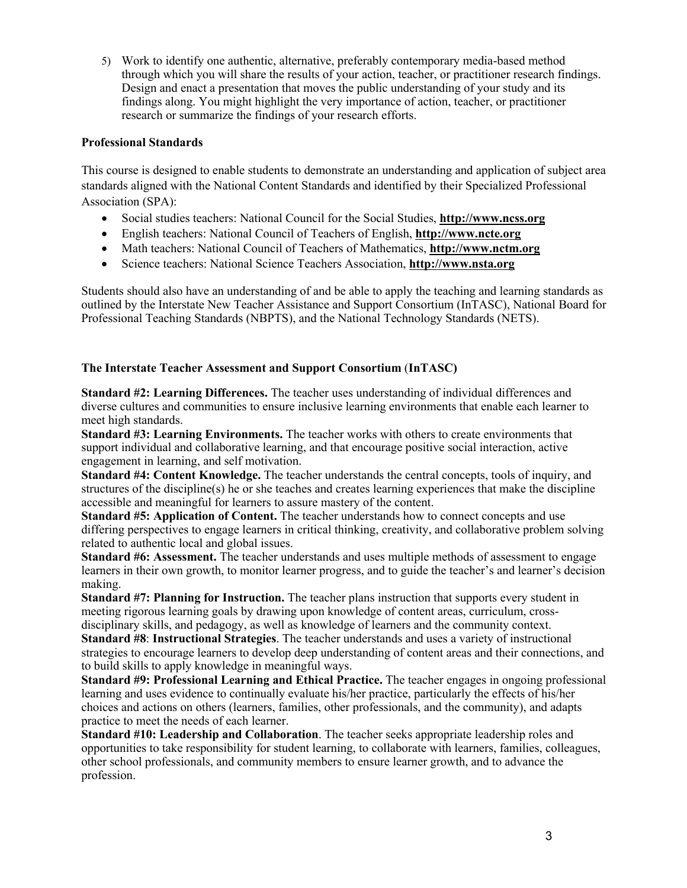5) Work to identify one authentic, alternative, preferably contemporary media-based method through which you will share the results of your action, teacher, or practitioner research findings. Design and enact a presentation that moves the public understanding of your study and its findings along. You might highlight the very importance of action, teacher, or practitioner research or summarize the findings of your research efforts.

## **Professional Standards**

This course is designed to enable students to demonstrate an understanding and application of subject area standards aligned with the National Content Standards and identified by their Specialized Professional Association (SPA):

- Social studies teachers: National Council for the Social Studies, **http://www.ncss.org**
- English teachers: National Council of Teachers of English, **http://www.ncte.org**
- Math teachers: National Council of Teachers of Mathematics, **http://www.nctm.org**
- Science teachers: National Science Teachers Association, **http://www.nsta.org**

Students should also have an understanding of and be able to apply the teaching and learning standards as outlined by the Interstate New Teacher Assistance and Support Consortium (InTASC), National Board for Professional Teaching Standards (NBPTS), and the National Technology Standards (NETS).

## **The Interstate Teacher Assessment and Support Consortium** (**InTASC)**

**Standard #2: Learning Differences.** The teacher uses understanding of individual differences and diverse cultures and communities to ensure inclusive learning environments that enable each learner to meet high standards.

**Standard #3: Learning Environments.** The teacher works with others to create environments that support individual and collaborative learning, and that encourage positive social interaction, active engagement in learning, and self motivation.

**Standard #4: Content Knowledge.** The teacher understands the central concepts, tools of inquiry, and structures of the discipline(s) he or she teaches and creates learning experiences that make the discipline accessible and meaningful for learners to assure mastery of the content.

**Standard #5: Application of Content.** The teacher understands how to connect concepts and use differing perspectives to engage learners in critical thinking, creativity, and collaborative problem solving related to authentic local and global issues.

**Standard #6: Assessment.** The teacher understands and uses multiple methods of assessment to engage learners in their own growth, to monitor learner progress, and to guide the teacher's and learner's decision making.

**Standard #7: Planning for Instruction.** The teacher plans instruction that supports every student in meeting rigorous learning goals by drawing upon knowledge of content areas, curriculum, crossdisciplinary skills, and pedagogy, as well as knowledge of learners and the community context.

**Standard #8**: **Instructional Strategies**. The teacher understands and uses a variety of instructional strategies to encourage learners to develop deep understanding of content areas and their connections, and to build skills to apply knowledge in meaningful ways.

**Standard #9: Professional Learning and Ethical Practice.** The teacher engages in ongoing professional learning and uses evidence to continually evaluate his/her practice, particularly the effects of his/her choices and actions on others (learners, families, other professionals, and the community), and adapts practice to meet the needs of each learner.

**Standard #10: Leadership and Collaboration**. The teacher seeks appropriate leadership roles and opportunities to take responsibility for student learning, to collaborate with learners, families, colleagues, other school professionals, and community members to ensure learner growth, and to advance the profession.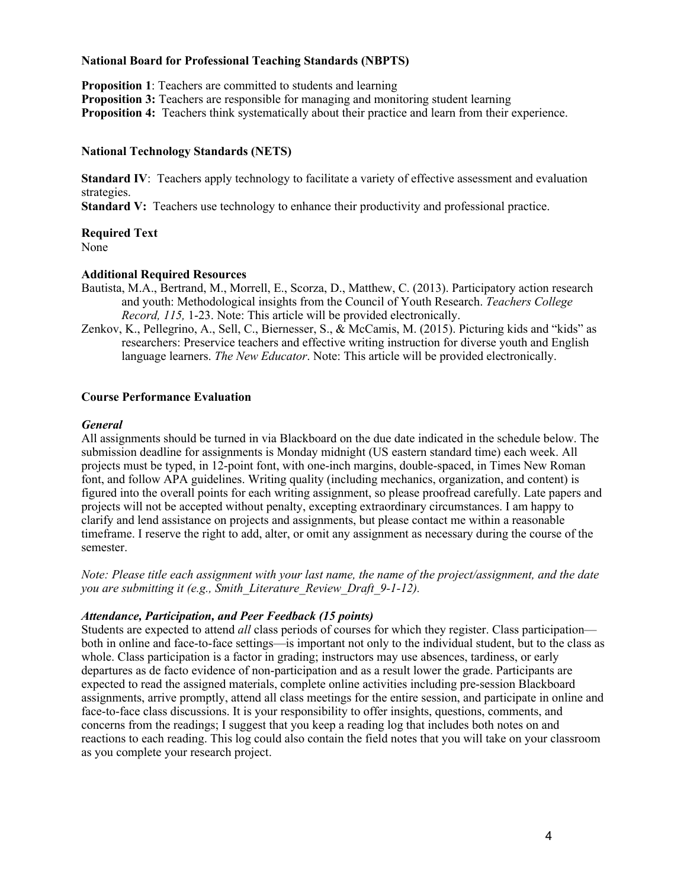### **National Board for Professional Teaching Standards (NBPTS)**

**Proposition 1**: Teachers are committed to students and learning

**Proposition 3:** Teachers are responsible for managing and monitoring student learning

**Proposition 4:** Teachers think systematically about their practice and learn from their experience.

### **National Technology Standards (NETS)**

**Standard IV:** Teachers apply technology to facilitate a variety of effective assessment and evaluation strategies.

**Standard V:** Teachers use technology to enhance their productivity and professional practice.

## **Required Text**

None

## **Additional Required Resources**

- Bautista, M.A., Bertrand, M., Morrell, E., Scorza, D., Matthew, C. (2013). Participatory action research and youth: Methodological insights from the Council of Youth Research. *Teachers College Record, 115,* 1-23. Note: This article will be provided electronically.
- Zenkov, K., Pellegrino, A., Sell, C., Biernesser, S., & McCamis, M. (2015). Picturing kids and "kids" as researchers: Preservice teachers and effective writing instruction for diverse youth and English language learners. *The New Educator*. Note: This article will be provided electronically.

## **Course Performance Evaluation**

### *General*

All assignments should be turned in via Blackboard on the due date indicated in the schedule below. The submission deadline for assignments is Monday midnight (US eastern standard time) each week. All projects must be typed, in 12-point font, with one-inch margins, double-spaced, in Times New Roman font, and follow APA guidelines. Writing quality (including mechanics, organization, and content) is figured into the overall points for each writing assignment, so please proofread carefully. Late papers and projects will not be accepted without penalty, excepting extraordinary circumstances. I am happy to clarify and lend assistance on projects and assignments, but please contact me within a reasonable timeframe. I reserve the right to add, alter, or omit any assignment as necessary during the course of the semester.

*Note: Please title each assignment with your last name, the name of the project/assignment, and the date you are submitting it (e.g., Smith\_Literature\_Review\_Draft\_9-1-12).*

## *Attendance, Participation, and Peer Feedback (15 points)*

Students are expected to attend *all* class periods of courses for which they register. Class participation both in online and face-to-face settings—is important not only to the individual student, but to the class as whole. Class participation is a factor in grading; instructors may use absences, tardiness, or early departures as de facto evidence of non-participation and as a result lower the grade. Participants are expected to read the assigned materials, complete online activities including pre-session Blackboard assignments, arrive promptly, attend all class meetings for the entire session, and participate in online and face-to-face class discussions. It is your responsibility to offer insights, questions, comments, and concerns from the readings; I suggest that you keep a reading log that includes both notes on and reactions to each reading. This log could also contain the field notes that you will take on your classroom as you complete your research project.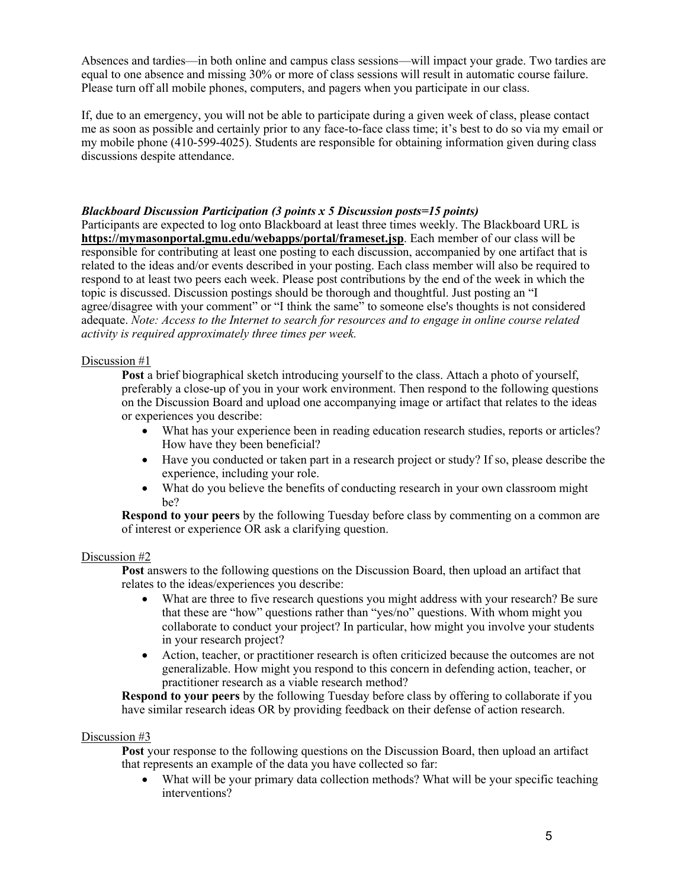Absences and tardies—in both online and campus class sessions—will impact your grade. Two tardies are equal to one absence and missing 30% or more of class sessions will result in automatic course failure. Please turn off all mobile phones, computers, and pagers when you participate in our class.

If, due to an emergency, you will not be able to participate during a given week of class, please contact me as soon as possible and certainly prior to any face-to-face class time; it's best to do so via my email or my mobile phone (410-599-4025). Students are responsible for obtaining information given during class discussions despite attendance.

### *Blackboard Discussion Participation (3 points x 5 Discussion posts=15 points)*

Participants are expected to log onto Blackboard at least three times weekly. The Blackboard URL is **https://mymasonportal.gmu.edu/webapps/portal/frameset.jsp**. Each member of our class will be responsible for contributing at least one posting to each discussion, accompanied by one artifact that is related to the ideas and/or events described in your posting. Each class member will also be required to respond to at least two peers each week. Please post contributions by the end of the week in which the topic is discussed. Discussion postings should be thorough and thoughtful. Just posting an "I agree/disagree with your comment" or "I think the same" to someone else's thoughts is not considered adequate. *Note: Access to the Internet to search for resources and to engage in online course related activity is required approximately three times per week.* 

### Discussion #1

**Post** a brief biographical sketch introducing yourself to the class. Attach a photo of yourself, preferably a close-up of you in your work environment. Then respond to the following questions on the Discussion Board and upload one accompanying image or artifact that relates to the ideas or experiences you describe:

- What has your experience been in reading education research studies, reports or articles? How have they been beneficial?
- Have you conducted or taken part in a research project or study? If so, please describe the experience, including your role.
- What do you believe the benefits of conducting research in your own classroom might be?

**Respond to your peers** by the following Tuesday before class by commenting on a common are of interest or experience OR ask a clarifying question.

#### Discussion #2

**Post** answers to the following questions on the Discussion Board, then upload an artifact that relates to the ideas/experiences you describe:

- What are three to five research questions you might address with your research? Be sure that these are "how" questions rather than "yes/no" questions. With whom might you collaborate to conduct your project? In particular, how might you involve your students in your research project?
- Action, teacher, or practitioner research is often criticized because the outcomes are not generalizable. How might you respond to this concern in defending action, teacher, or practitioner research as a viable research method?

**Respond to your peers** by the following Tuesday before class by offering to collaborate if you have similar research ideas OR by providing feedback on their defense of action research.

#### Discussion #3

**Post** your response to the following questions on the Discussion Board, then upload an artifact that represents an example of the data you have collected so far:

What will be your primary data collection methods? What will be your specific teaching interventions?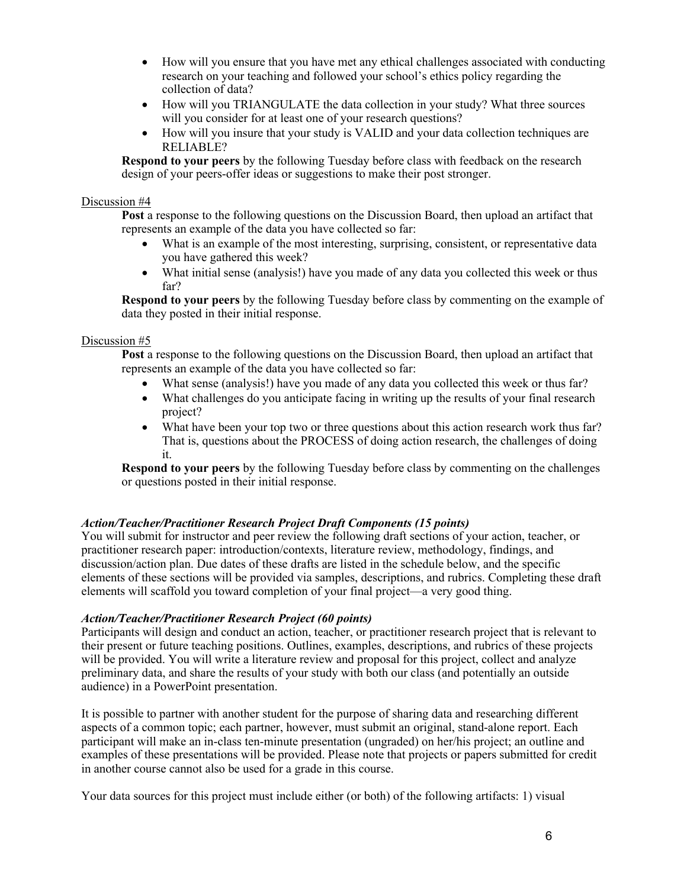- How will you ensure that you have met any ethical challenges associated with conducting research on your teaching and followed your school's ethics policy regarding the collection of data?
- How will you TRIANGULATE the data collection in your study? What three sources will you consider for at least one of your research questions?
- How will you insure that your study is VALID and your data collection techniques are RELIABLE?

**Respond to your peers** by the following Tuesday before class with feedback on the research design of your peers-offer ideas or suggestions to make their post stronger.

### Discussion #4

**Post** a response to the following questions on the Discussion Board, then upload an artifact that represents an example of the data you have collected so far:

- What is an example of the most interesting, surprising, consistent, or representative data you have gathered this week?
- What initial sense (analysis!) have you made of any data you collected this week or thus far?

**Respond to your peers** by the following Tuesday before class by commenting on the example of data they posted in their initial response.

## Discussion #5

**Post** a response to the following questions on the Discussion Board, then upload an artifact that represents an example of the data you have collected so far:

- What sense (analysis!) have you made of any data you collected this week or thus far?
- What challenges do you anticipate facing in writing up the results of your final research project?
- What have been your top two or three questions about this action research work thus far? That is, questions about the PROCESS of doing action research, the challenges of doing it.

**Respond to your peers** by the following Tuesday before class by commenting on the challenges or questions posted in their initial response.

## *Action/Teacher/Practitioner Research Project Draft Components (15 points)*

You will submit for instructor and peer review the following draft sections of your action, teacher, or practitioner research paper: introduction/contexts, literature review, methodology, findings, and discussion/action plan. Due dates of these drafts are listed in the schedule below, and the specific elements of these sections will be provided via samples, descriptions, and rubrics. Completing these draft elements will scaffold you toward completion of your final project—a very good thing.

## *Action/Teacher/Practitioner Research Project (60 points)*

Participants will design and conduct an action, teacher, or practitioner research project that is relevant to their present or future teaching positions. Outlines, examples, descriptions, and rubrics of these projects will be provided. You will write a literature review and proposal for this project, collect and analyze preliminary data, and share the results of your study with both our class (and potentially an outside audience) in a PowerPoint presentation.

It is possible to partner with another student for the purpose of sharing data and researching different aspects of a common topic; each partner, however, must submit an original, stand-alone report. Each participant will make an in-class ten-minute presentation (ungraded) on her/his project; an outline and examples of these presentations will be provided. Please note that projects or papers submitted for credit in another course cannot also be used for a grade in this course.

Your data sources for this project must include either (or both) of the following artifacts: 1) visual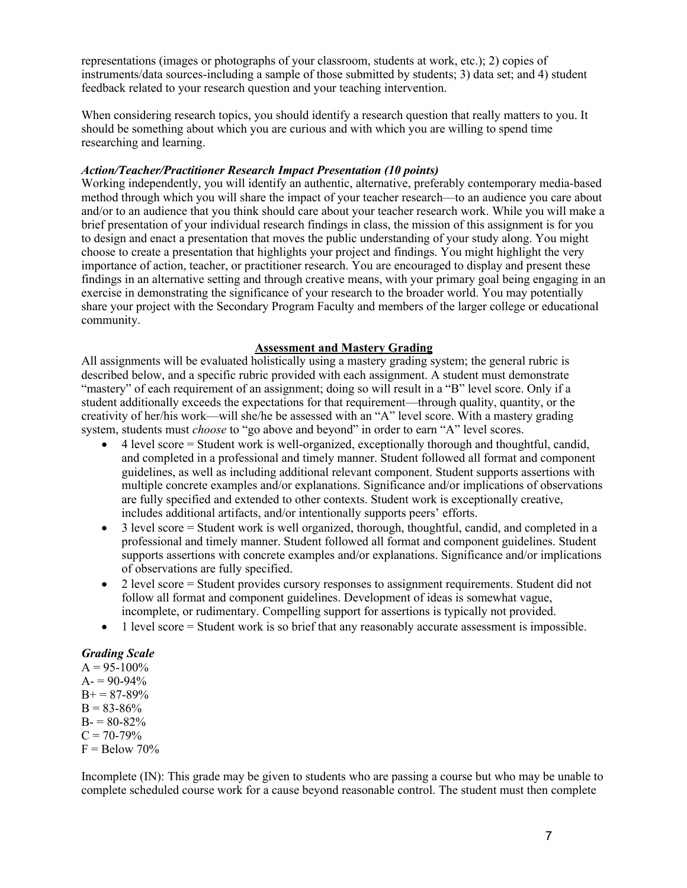representations (images or photographs of your classroom, students at work, etc.); 2) copies of instruments/data sources-including a sample of those submitted by students; 3) data set; and 4) student feedback related to your research question and your teaching intervention.

When considering research topics, you should identify a research question that really matters to you. It should be something about which you are curious and with which you are willing to spend time researching and learning.

## *Action/Teacher/Practitioner Research Impact Presentation (10 points)*

Working independently, you will identify an authentic, alternative, preferably contemporary media-based method through which you will share the impact of your teacher research—to an audience you care about and/or to an audience that you think should care about your teacher research work. While you will make a brief presentation of your individual research findings in class, the mission of this assignment is for you to design and enact a presentation that moves the public understanding of your study along. You might choose to create a presentation that highlights your project and findings. You might highlight the very importance of action, teacher, or practitioner research. You are encouraged to display and present these findings in an alternative setting and through creative means, with your primary goal being engaging in an exercise in demonstrating the significance of your research to the broader world. You may potentially share your project with the Secondary Program Faculty and members of the larger college or educational community.

# **Assessment and Mastery Grading**

All assignments will be evaluated holistically using a mastery grading system; the general rubric is described below, and a specific rubric provided with each assignment. A student must demonstrate "mastery" of each requirement of an assignment; doing so will result in a "B" level score. Only if a student additionally exceeds the expectations for that requirement—through quality, quantity, or the creativity of her/his work—will she/he be assessed with an "A" level score. With a mastery grading system, students must *choose* to "go above and beyond" in order to earn "A" level scores.

- 4 level score = Student work is well-organized, exceptionally thorough and thoughtful, candid, and completed in a professional and timely manner. Student followed all format and component guidelines, as well as including additional relevant component. Student supports assertions with multiple concrete examples and/or explanations. Significance and/or implications of observations are fully specified and extended to other contexts. Student work is exceptionally creative, includes additional artifacts, and/or intentionally supports peers' efforts.
- 3 level score = Student work is well organized, thorough, thoughtful, candid, and completed in a professional and timely manner. Student followed all format and component guidelines. Student supports assertions with concrete examples and/or explanations. Significance and/or implications of observations are fully specified.
- 2 level score = Student provides cursory responses to assignment requirements. Student did not follow all format and component guidelines. Development of ideas is somewhat vague, incomplete, or rudimentary. Compelling support for assertions is typically not provided.
- 1 level score = Student work is so brief that any reasonably accurate assessment is impossible.

## *Grading Scale*

 $A = 95-100\%$  $A = 90-94\%$  $B+=87-89%$  $B = 83-86%$  $B - 80 - 82\%$  $C = 70-79%$  $F =$  Below 70%

Incomplete (IN): This grade may be given to students who are passing a course but who may be unable to complete scheduled course work for a cause beyond reasonable control. The student must then complete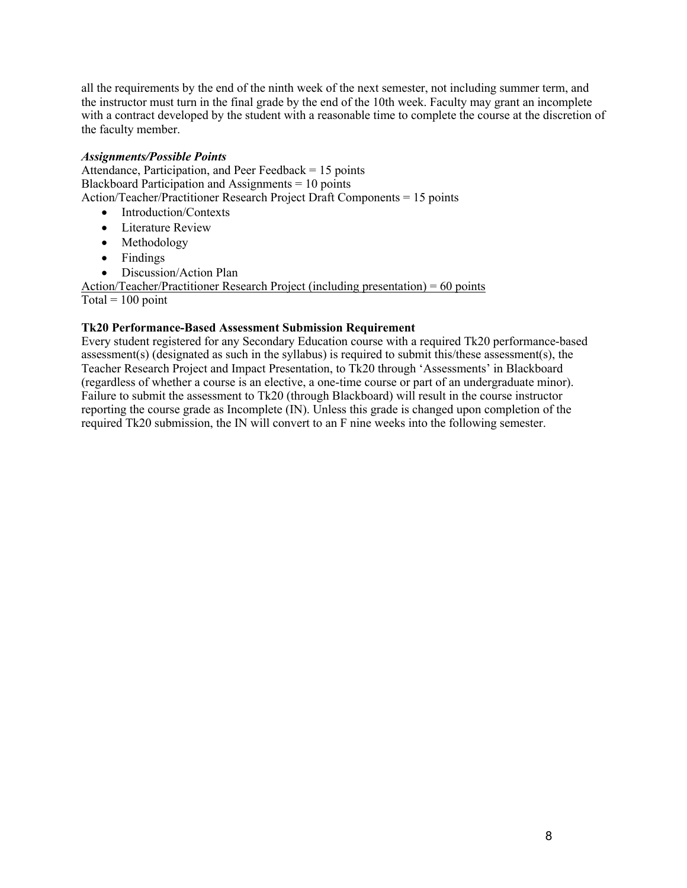all the requirements by the end of the ninth week of the next semester, not including summer term, and the instructor must turn in the final grade by the end of the 10th week. Faculty may grant an incomplete with a contract developed by the student with a reasonable time to complete the course at the discretion of the faculty member.

# *Assignments/Possible Points*

Attendance, Participation, and Peer Feedback  $= 15$  points Blackboard Participation and Assignments = 10 points Action/Teacher/Practitioner Research Project Draft Components = 15 points

- Introduction/Contexts
- Literature Review
- Methodology
- Findings
- Discussion/Action Plan

Action/Teacher/Practitioner Research Project (including presentation) = 60 points  $Total = 100$  point

# **Tk20 Performance-Based Assessment Submission Requirement**

Every student registered for any Secondary Education course with a required Tk20 performance-based assessment(s) (designated as such in the syllabus) is required to submit this/these assessment(s), the Teacher Research Project and Impact Presentation, to Tk20 through 'Assessments' in Blackboard (regardless of whether a course is an elective, a one-time course or part of an undergraduate minor). Failure to submit the assessment to Tk20 (through Blackboard) will result in the course instructor reporting the course grade as Incomplete (IN). Unless this grade is changed upon completion of the required Tk20 submission, the IN will convert to an F nine weeks into the following semester.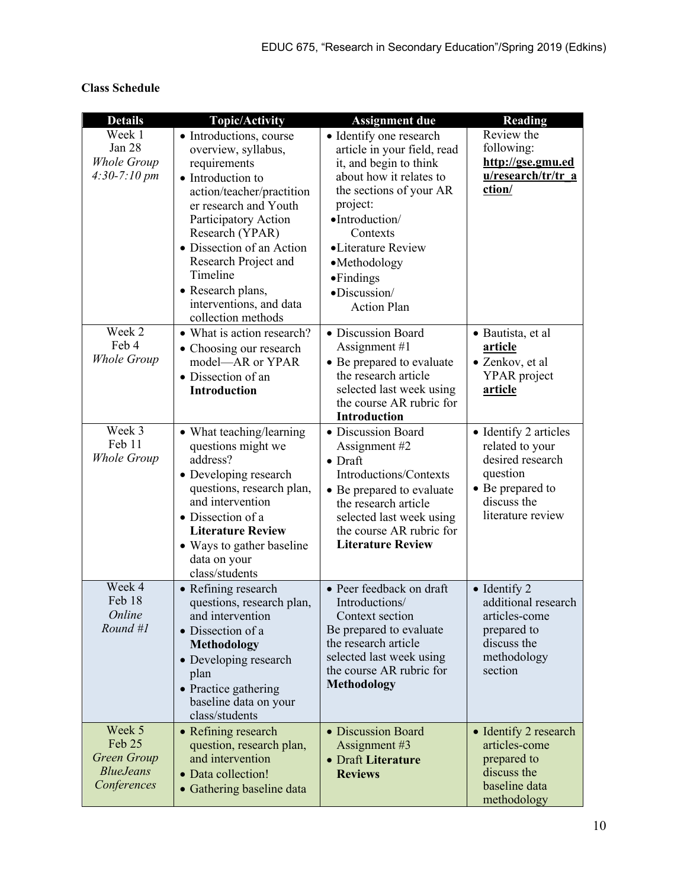# **Class Schedule**

| <b>Details</b>                                                     | <b>Topic/Activity</b>                                                                                                                                                                                                                                                                                                       | <b>Assignment due</b>                                                                                                                                                                                                                                                     | <b>Reading</b>                                                                                                                   |
|--------------------------------------------------------------------|-----------------------------------------------------------------------------------------------------------------------------------------------------------------------------------------------------------------------------------------------------------------------------------------------------------------------------|---------------------------------------------------------------------------------------------------------------------------------------------------------------------------------------------------------------------------------------------------------------------------|----------------------------------------------------------------------------------------------------------------------------------|
| Week 1<br>Jan 28<br>Whole Group<br>$4:30-7:10 \; pm$               | • Introductions, course<br>overview, syllabus,<br>requirements<br>• Introduction to<br>action/teacher/practition<br>er research and Youth<br>Participatory Action<br>Research (YPAR)<br>• Dissection of an Action<br>Research Project and<br>Timeline<br>• Research plans,<br>interventions, and data<br>collection methods | • Identify one research<br>article in your field, read<br>it, and begin to think<br>about how it relates to<br>the sections of your AR<br>project:<br>·Introduction/<br>Contexts<br>•Literature Review<br>•Methodology<br>•Findings<br>·Discussion/<br><b>Action Plan</b> | Review the<br>following:<br>http://gse.gmu.ed<br>u/research/tr/tr a<br>ction/                                                    |
| Week 2<br>Feb 4<br><b>Whole Group</b>                              | • What is action research?<br>• Choosing our research<br>model-AR or YPAR<br>• Dissection of an<br><b>Introduction</b>                                                                                                                                                                                                      | • Discussion Board<br>Assignment #1<br>• Be prepared to evaluate<br>the research article<br>selected last week using<br>the course AR rubric for<br><b>Introduction</b>                                                                                                   | • Bautista, et al<br>article<br>• Zenkov, et al<br>YPAR project<br>article                                                       |
| Week 3<br>Feb 11<br>Whole Group                                    | • What teaching/learning<br>questions might we<br>address?<br>• Developing research<br>questions, research plan,<br>and intervention<br>• Dissection of a<br><b>Literature Review</b><br>• Ways to gather baseline<br>data on your<br>class/students                                                                        | • Discussion Board<br>Assignment #2<br>$\bullet$ Draft<br>Introductions/Contexts<br>• Be prepared to evaluate<br>the research article<br>selected last week using<br>the course AR rubric for<br><b>Literature Review</b>                                                 | • Identify 2 articles<br>related to your<br>desired research<br>question<br>• Be prepared to<br>discuss the<br>literature review |
| Week 4<br>Feb 18<br>Online<br>Round #I                             | • Refining research<br>questions, research plan,<br>and intervention<br>• Dissection of a<br>Methodology<br>• Developing research<br>plan<br>• Practice gathering<br>baseline data on your<br>class/students                                                                                                                | • Peer feedback on draft<br>Introductions/<br>Context section<br>Be prepared to evaluate<br>the research article<br>selected last week using<br>the course AR rubric for<br><b>Methodology</b>                                                                            | $\bullet$ Identify 2<br>additional research<br>articles-come<br>prepared to<br>discuss the<br>methodology<br>section             |
| Week 5<br>Feb 25<br>Green Group<br><b>BlueJeans</b><br>Conferences | • Refining research<br>question, research plan,<br>and intervention<br>• Data collection!<br>• Gathering baseline data                                                                                                                                                                                                      | • Discussion Board<br>Assignment #3<br>• Draft Literature<br><b>Reviews</b>                                                                                                                                                                                               | • Identify 2 research<br>articles-come<br>prepared to<br>discuss the<br>baseline data<br>methodology                             |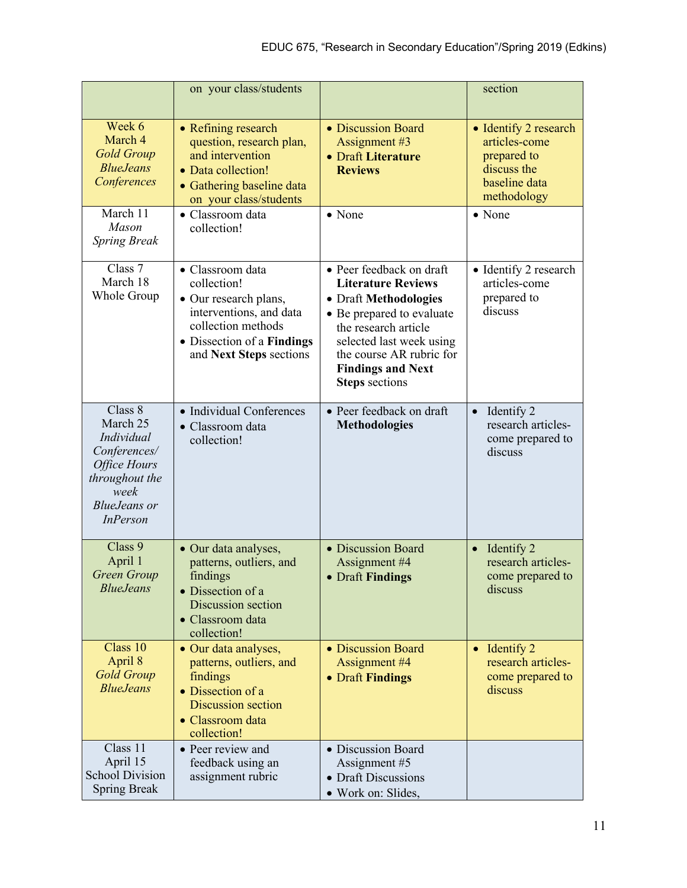|                                                                                                                                       | on your class/students                                                                                                                                             |                                                                                                                                                                                                                                                  | section                                                                                              |
|---------------------------------------------------------------------------------------------------------------------------------------|--------------------------------------------------------------------------------------------------------------------------------------------------------------------|--------------------------------------------------------------------------------------------------------------------------------------------------------------------------------------------------------------------------------------------------|------------------------------------------------------------------------------------------------------|
| Week 6<br>March 4<br><b>Gold Group</b><br><b>BlueJeans</b><br>Conferences                                                             | • Refining research<br>question, research plan,<br>and intervention<br>• Data collection!<br>• Gathering baseline data<br>on your class/students                   | • Discussion Board<br>Assignment #3<br>• Draft Literature<br><b>Reviews</b>                                                                                                                                                                      | • Identify 2 research<br>articles-come<br>prepared to<br>discuss the<br>baseline data<br>methodology |
| March 11<br>Mason<br><b>Spring Break</b>                                                                                              | · Classroom data<br>collection!                                                                                                                                    | • None                                                                                                                                                                                                                                           | $\bullet$ None                                                                                       |
| Class 7<br>March 18<br>Whole Group                                                                                                    | · Classroom data<br>collection!<br>• Our research plans,<br>interventions, and data<br>collection methods<br>• Dissection of a Findings<br>and Next Steps sections | • Peer feedback on draft<br><b>Literature Reviews</b><br>• Draft Methodologies<br>• Be prepared to evaluate<br>the research article<br>selected last week using<br>the course AR rubric for<br><b>Findings and Next</b><br><b>Steps</b> sections | • Identify 2 research<br>articles-come<br>prepared to<br>discuss                                     |
| Class 8<br>March 25<br>Individual<br>Conferences/<br>Office Hours<br>throughout the<br>week<br><b>BlueJeans</b> or<br><b>InPerson</b> | • Individual Conferences<br>· Classroom data<br>collection!                                                                                                        | • Peer feedback on draft<br><b>Methodologies</b>                                                                                                                                                                                                 | Identify 2<br>$\bullet$<br>research articles-<br>come prepared to<br>discuss                         |
| Class 9<br>April 1<br>Green Group<br><b>BlueJeans</b>                                                                                 | • Our data analyses,<br>patterns, outliers, and<br>findings<br>• Dissection of a<br>Discussion section<br>• Classroom data<br>collection!                          | • Discussion Board<br>Assignment #4<br>• Draft Findings                                                                                                                                                                                          | Identify 2<br>$\bullet$<br>research articles-<br>come prepared to<br>discuss                         |
| Class 10<br>April 8<br><b>Gold Group</b><br><b>BlueJeans</b>                                                                          | • Our data analyses,<br>patterns, outliers, and<br>findings<br>• Dissection of a<br>Discussion section<br>• Classroom data<br>collection!                          | • Discussion Board<br>Assignment #4<br>• Draft Findings                                                                                                                                                                                          | $\bullet$ Identify 2<br>research articles-<br>come prepared to<br>discuss                            |
| Class 11<br>April 15<br><b>School Division</b><br><b>Spring Break</b>                                                                 | • Peer review and<br>feedback using an<br>assignment rubric                                                                                                        | • Discussion Board<br>Assignment #5<br>• Draft Discussions<br>• Work on: Slides,                                                                                                                                                                 |                                                                                                      |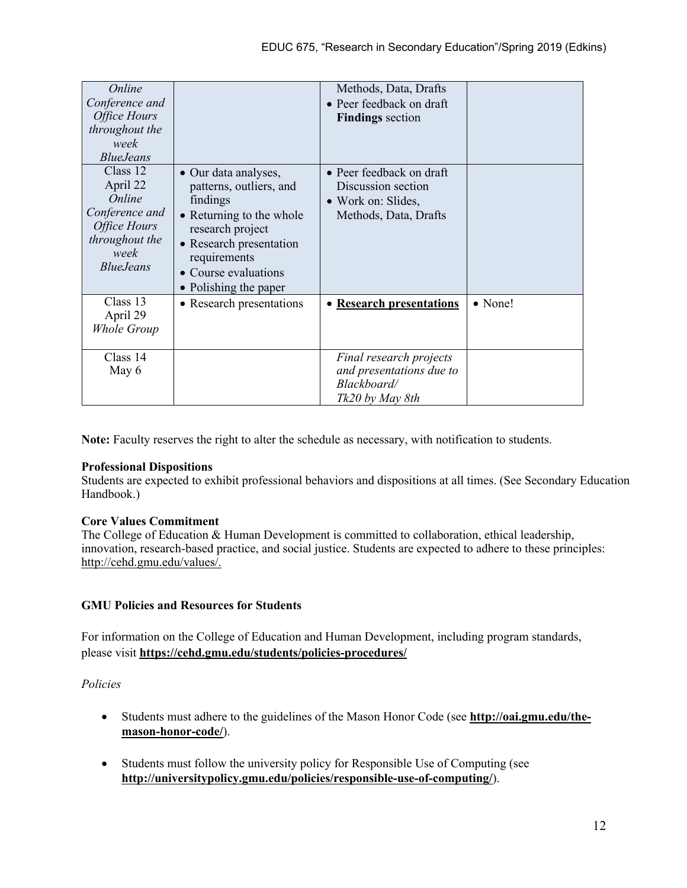| Online<br>Conference and<br><b>Office Hours</b><br>throughout the<br>week<br><i>BlueJeans</i>                         |                                                                                                                                                                                                         | Methods, Data, Drafts<br>• Peer feedback on draft<br><b>Findings</b> section                  |         |
|-----------------------------------------------------------------------------------------------------------------------|---------------------------------------------------------------------------------------------------------------------------------------------------------------------------------------------------------|-----------------------------------------------------------------------------------------------|---------|
| Class 12<br>April 22<br>Online<br>Conference and<br><b>Office Hours</b><br>throughout the<br>week<br><i>BlueJeans</i> | • Our data analyses,<br>patterns, outliers, and<br>findings<br>• Returning to the whole<br>research project<br>• Research presentation<br>requirements<br>• Course evaluations<br>• Polishing the paper | • Peer feedback on draft<br>Discussion section<br>• Work on: Slides,<br>Methods, Data, Drafts |         |
| Class $13$<br>April 29<br>Whole Group                                                                                 | • Research presentations                                                                                                                                                                                | • Research presentations                                                                      | • None! |
| Class 14<br>May 6                                                                                                     |                                                                                                                                                                                                         | Final research projects<br>and presentations due to<br>Blackboard/<br>Tk20 by May 8th         |         |

**Note:** Faculty reserves the right to alter the schedule as necessary, with notification to students.

# **Professional Dispositions**

Students are expected to exhibit professional behaviors and dispositions at all times. (See Secondary Education Handbook.)

# **Core Values Commitment**

The College of Education & Human Development is committed to collaboration, ethical leadership, innovation, research-based practice, and social justice. Students are expected to adhere to these principles: http://cehd.gmu.edu/values/.

# **GMU Policies and Resources for Students**

For information on the College of Education and Human Development, including program standards, please visit **https://cehd.gmu.edu/students/policies-procedures/**

# *Policies*

- Students must adhere to the guidelines of the Mason Honor Code (see **http://oai.gmu.edu/themason-honor-code/**).
- Students must follow the university policy for Responsible Use of Computing (see **http://universitypolicy.gmu.edu/policies/responsible-use-of-computing/**).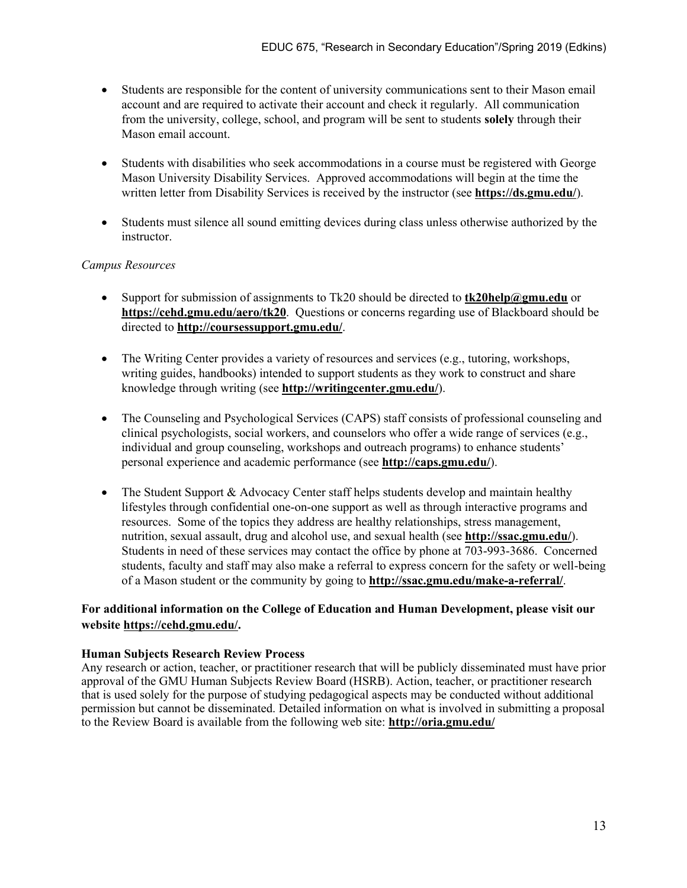- Students are responsible for the content of university communications sent to their Mason email account and are required to activate their account and check it regularly. All communication from the university, college, school, and program will be sent to students **solely** through their Mason email account.
- Students with disabilities who seek accommodations in a course must be registered with George Mason University Disability Services. Approved accommodations will begin at the time the written letter from Disability Services is received by the instructor (see **https://ds.gmu.edu/**).
- Students must silence all sound emitting devices during class unless otherwise authorized by the instructor.

# *Campus Resources*

- Support for submission of assignments to Tk20 should be directed to **tk20help@gmu.edu** or **https://cehd.gmu.edu/aero/tk20**. Questions or concerns regarding use of Blackboard should be directed to **http://coursessupport.gmu.edu/**.
- The Writing Center provides a variety of resources and services (e.g., tutoring, workshops, writing guides, handbooks) intended to support students as they work to construct and share knowledge through writing (see **http://writingcenter.gmu.edu/**).
- The Counseling and Psychological Services (CAPS) staff consists of professional counseling and clinical psychologists, social workers, and counselors who offer a wide range of services (e.g., individual and group counseling, workshops and outreach programs) to enhance students' personal experience and academic performance (see **http://caps.gmu.edu/**).
- The Student Support & Advocacy Center staff helps students develop and maintain healthy lifestyles through confidential one-on-one support as well as through interactive programs and resources. Some of the topics they address are healthy relationships, stress management, nutrition, sexual assault, drug and alcohol use, and sexual health (see **http://ssac.gmu.edu/**). Students in need of these services may contact the office by phone at 703-993-3686. Concerned students, faculty and staff may also make a referral to express concern for the safety or well-being of a Mason student or the community by going to **http://ssac.gmu.edu/make-a-referral/**.

# **For additional information on the College of Education and Human Development, please visit our website https://cehd.gmu.edu/.**

# **Human Subjects Research Review Process**

Any research or action, teacher, or practitioner research that will be publicly disseminated must have prior approval of the GMU Human Subjects Review Board (HSRB). Action, teacher, or practitioner research that is used solely for the purpose of studying pedagogical aspects may be conducted without additional permission but cannot be disseminated. Detailed information on what is involved in submitting a proposal to the Review Board is available from the following web site: **http://oria.gmu.edu/**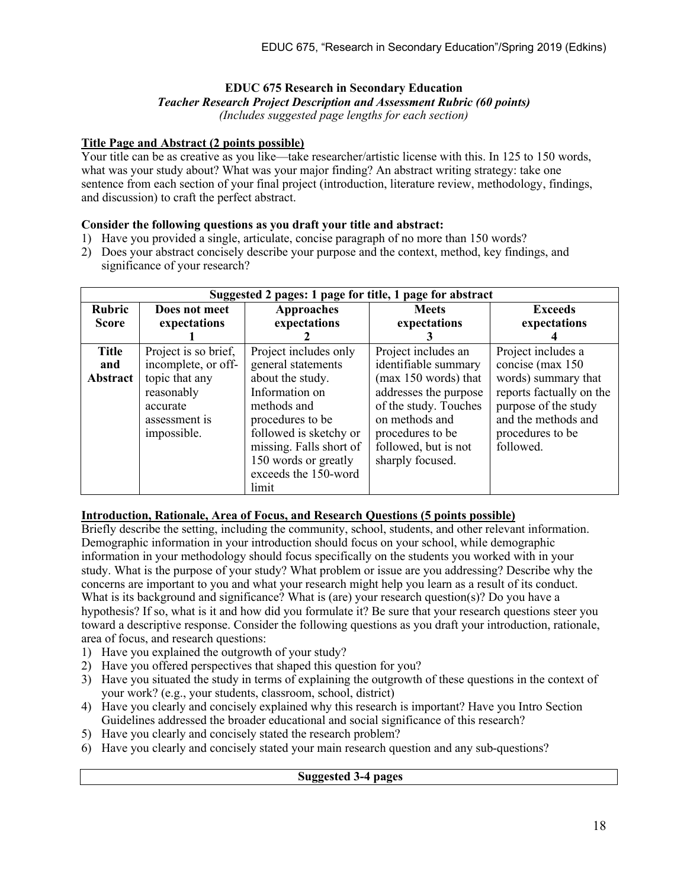#### **EDUC 675 Research in Secondary Education** *Teacher Research Project Description and Assessment Rubric (60 points) (Includes suggested page lengths for each section)*

# **Title Page and Abstract (2 points possible)**

Your title can be as creative as you like—take researcher/artistic license with this. In 125 to 150 words, what was your study about? What was your major finding? An abstract writing strategy: take one sentence from each section of your final project (introduction, literature review, methodology, findings, and discussion) to craft the perfect abstract.

# **Consider the following questions as you draft your title and abstract:**

- 1) Have you provided a single, articulate, concise paragraph of no more than 150 words?
- 2) Does your abstract concisely describe your purpose and the context, method, key findings, and significance of your research?

|                                 | Suggested 2 pages: 1 page for title, 1 page for abstract                                                                |                                                                                                                                                                                                                                    |                                                                                                                                                                                                         |                                                                                                                                                                            |  |
|---------------------------------|-------------------------------------------------------------------------------------------------------------------------|------------------------------------------------------------------------------------------------------------------------------------------------------------------------------------------------------------------------------------|---------------------------------------------------------------------------------------------------------------------------------------------------------------------------------------------------------|----------------------------------------------------------------------------------------------------------------------------------------------------------------------------|--|
| <b>Rubric</b><br><b>Score</b>   | Does not meet<br>expectations                                                                                           | <b>Approaches</b><br>expectations                                                                                                                                                                                                  | <b>Meets</b><br>expectations                                                                                                                                                                            | <b>Exceeds</b><br>expectations                                                                                                                                             |  |
| <b>Title</b><br>and<br>Abstract | Project is so brief,<br>incomplete, or off-<br>topic that any<br>reasonably<br>accurate<br>assessment is<br>impossible. | Project includes only<br>general statements<br>about the study.<br>Information on<br>methods and<br>procedures to be<br>followed is sketchy or<br>missing. Falls short of<br>150 words or greatly<br>exceeds the 150-word<br>limit | Project includes an<br>identifiable summary<br>(max 150 words) that<br>addresses the purpose<br>of the study. Touches<br>on methods and<br>procedures to be<br>followed, but is not<br>sharply focused. | Project includes a<br>concise (max 150)<br>words) summary that<br>reports factually on the<br>purpose of the study<br>and the methods and<br>procedures to be<br>followed. |  |

# **Introduction, Rationale, Area of Focus, and Research Questions (5 points possible)**

Briefly describe the setting, including the community, school, students, and other relevant information. Demographic information in your introduction should focus on your school, while demographic information in your methodology should focus specifically on the students you worked with in your study. What is the purpose of your study? What problem or issue are you addressing? Describe why the concerns are important to you and what your research might help you learn as a result of its conduct. What is its background and significance? What is (are) your research question(s)? Do you have a hypothesis? If so, what is it and how did you formulate it? Be sure that your research questions steer you toward a descriptive response. Consider the following questions as you draft your introduction, rationale, area of focus, and research questions:

- 1) Have you explained the outgrowth of your study?
- 2) Have you offered perspectives that shaped this question for you?
- 3) Have you situated the study in terms of explaining the outgrowth of these questions in the context of your work? (e.g., your students, classroom, school, district)
- 4) Have you clearly and concisely explained why this research is important? Have you Intro Section Guidelines addressed the broader educational and social significance of this research?
- 5) Have you clearly and concisely stated the research problem?
- 6) Have you clearly and concisely stated your main research question and any sub-questions?

# **Suggested 3-4 pages**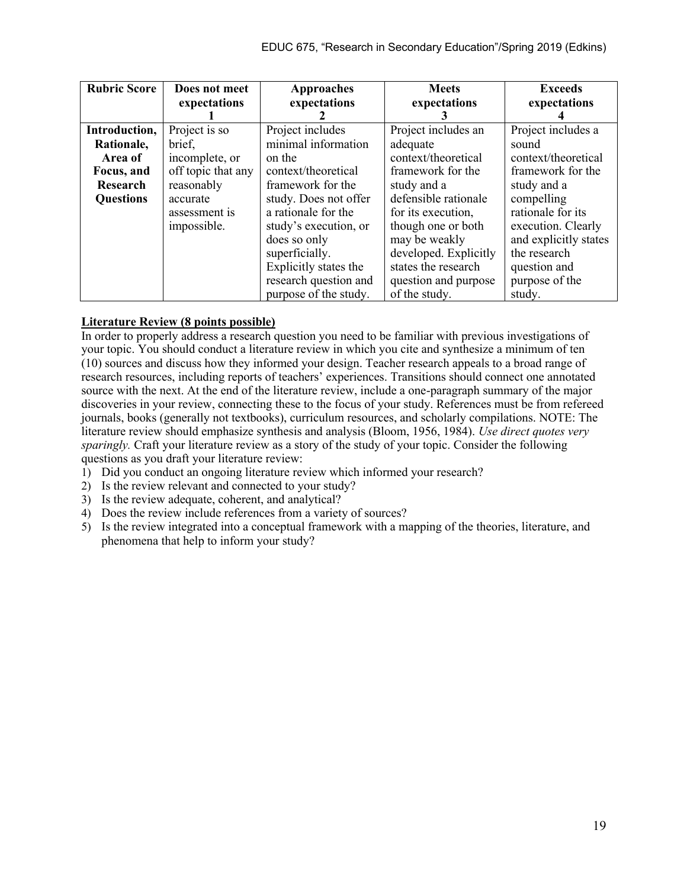| <b>Rubric Score</b> | Does not meet<br>expectations | <b>Approaches</b><br>expectations | <b>Meets</b><br>expectations | <b>Exceeds</b><br>expectations |
|---------------------|-------------------------------|-----------------------------------|------------------------------|--------------------------------|
|                     |                               |                                   |                              |                                |
| Introduction,       | Project is so                 | Project includes                  | Project includes an          | Project includes a             |
| Rationale,          | brief,                        | minimal information               | adequate                     | sound                          |
| Area of             | incomplete, or                | on the                            | context/theoretical          | context/theoretical            |
| Focus, and          | off topic that any            | context/theoretical               | framework for the            | framework for the              |
| Research            | reasonably                    | framework for the                 | study and a                  | study and a                    |
| <b>Questions</b>    | accurate                      | study. Does not offer             | defensible rationale         | compelling                     |
|                     | assessment is                 | a rationale for the               | for its execution,           | rationale for its              |
|                     | impossible.                   | study's execution, or             | though one or both           | execution. Clearly             |
|                     |                               | does so only                      | may be weakly                | and explicitly states          |
|                     |                               | superficially.                    | developed. Explicitly        | the research                   |
|                     |                               | Explicitly states the             | states the research          | question and                   |
|                     |                               | research question and             | question and purpose         | purpose of the                 |
|                     |                               | purpose of the study.             | of the study.                | study.                         |

# **Literature Review (8 points possible)**

In order to properly address a research question you need to be familiar with previous investigations of your topic. You should conduct a literature review in which you cite and synthesize a minimum of ten (10) sources and discuss how they informed your design. Teacher research appeals to a broad range of research resources, including reports of teachers' experiences. Transitions should connect one annotated source with the next. At the end of the literature review, include a one-paragraph summary of the major discoveries in your review, connecting these to the focus of your study. References must be from refereed journals, books (generally not textbooks), curriculum resources, and scholarly compilations. NOTE: The literature review should emphasize synthesis and analysis (Bloom, 1956, 1984). *Use direct quotes very sparingly.* Craft your literature review as a story of the study of your topic. Consider the following questions as you draft your literature review:

- 1) Did you conduct an ongoing literature review which informed your research?
- 2) Is the review relevant and connected to your study?
- 3) Is the review adequate, coherent, and analytical?
- 4) Does the review include references from a variety of sources?
- 5) Is the review integrated into a conceptual framework with a mapping of the theories, literature, and phenomena that help to inform your study?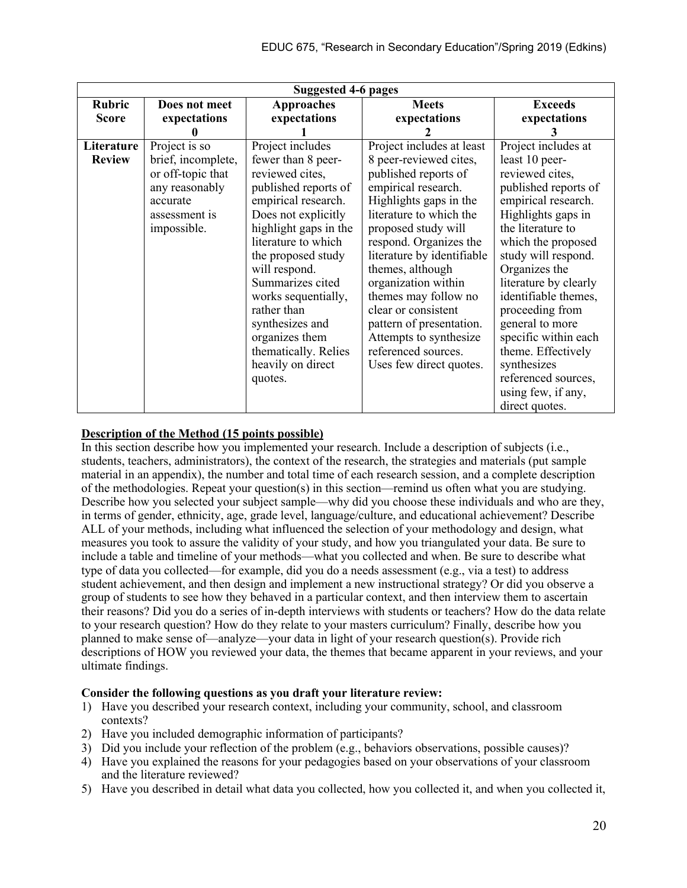|               | <b>Suggested 4-6 pages</b> |                       |                            |                       |
|---------------|----------------------------|-----------------------|----------------------------|-----------------------|
| <b>Rubric</b> | Does not meet              | <b>Approaches</b>     | <b>Meets</b>               | <b>Exceeds</b>        |
| <b>Score</b>  | expectations               | expectations          | expectations               | expectations          |
|               |                            |                       |                            |                       |
| Literature    | Project is so              | Project includes      | Project includes at least  | Project includes at   |
| <b>Review</b> | brief, incomplete,         | fewer than 8 peer-    | 8 peer-reviewed cites,     | least 10 peer-        |
|               | or off-topic that          | reviewed cites,       | published reports of       | reviewed cites,       |
|               | any reasonably             | published reports of  | empirical research.        | published reports of  |
|               | accurate                   | empirical research.   | Highlights gaps in the     | empirical research.   |
|               | assessment is              | Does not explicitly   | literature to which the    | Highlights gaps in    |
|               | impossible.                | highlight gaps in the | proposed study will        | the literature to     |
|               |                            | literature to which   | respond. Organizes the     | which the proposed    |
|               |                            | the proposed study    | literature by identifiable | study will respond.   |
|               |                            | will respond.         | themes, although           | Organizes the         |
|               |                            | Summarizes cited      | organization within        | literature by clearly |
|               |                            | works sequentially,   | themes may follow no       | identifiable themes,  |
|               |                            | rather than           | clear or consistent        | proceeding from       |
|               |                            | synthesizes and       | pattern of presentation.   | general to more       |
|               |                            | organizes them        | Attempts to synthesize     | specific within each  |
|               |                            | thematically. Relies  | referenced sources.        | theme. Effectively    |
|               |                            | heavily on direct     | Uses few direct quotes.    | synthesizes           |
|               |                            | quotes.               |                            | referenced sources,   |
|               |                            |                       |                            | using few, if any,    |
|               |                            |                       |                            | direct quotes.        |

# **Description of the Method (15 points possible)**

In this section describe how you implemented your research. Include a description of subjects (i.e., students, teachers, administrators), the context of the research, the strategies and materials (put sample material in an appendix), the number and total time of each research session, and a complete description of the methodologies. Repeat your question(s) in this section—remind us often what you are studying. Describe how you selected your subject sample—why did you choose these individuals and who are they, in terms of gender, ethnicity, age, grade level, language/culture, and educational achievement? Describe ALL of your methods, including what influenced the selection of your methodology and design, what measures you took to assure the validity of your study, and how you triangulated your data. Be sure to include a table and timeline of your methods—what you collected and when. Be sure to describe what type of data you collected—for example, did you do a needs assessment (e.g., via a test) to address student achievement, and then design and implement a new instructional strategy? Or did you observe a group of students to see how they behaved in a particular context, and then interview them to ascertain their reasons? Did you do a series of in-depth interviews with students or teachers? How do the data relate to your research question? How do they relate to your masters curriculum? Finally, describe how you planned to make sense of—analyze—your data in light of your research question(s). Provide rich descriptions of HOW you reviewed your data, the themes that became apparent in your reviews, and your ultimate findings.

## **Consider the following questions as you draft your literature review:**

- 1) Have you described your research context, including your community, school, and classroom contexts?
- 2) Have you included demographic information of participants?
- 3) Did you include your reflection of the problem (e.g., behaviors observations, possible causes)?
- 4) Have you explained the reasons for your pedagogies based on your observations of your classroom and the literature reviewed?
- 5) Have you described in detail what data you collected, how you collected it, and when you collected it,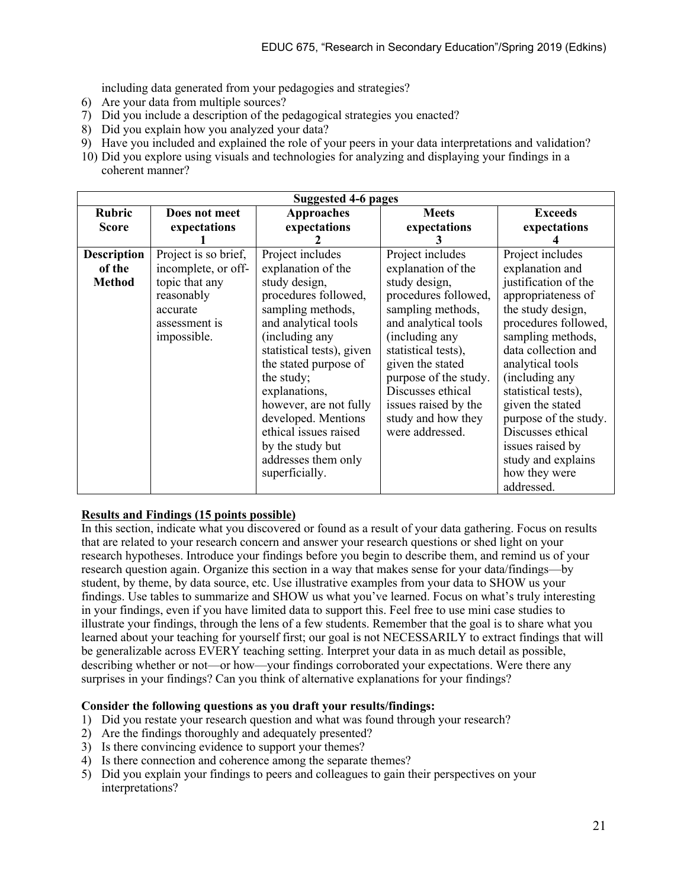including data generated from your pedagogies and strategies?

- 6) Are your data from multiple sources?
- 7) Did you include a description of the pedagogical strategies you enacted?
- 8) Did you explain how you analyzed your data?
- 9) Have you included and explained the role of your peers in your data interpretations and validation?
- 10) Did you explore using visuals and technologies for analyzing and displaying your findings in a coherent manner?

|                    | Suggested 4-6 pages  |                           |                       |                       |  |
|--------------------|----------------------|---------------------------|-----------------------|-----------------------|--|
| <b>Rubric</b>      | Does not meet        | <b>Approaches</b>         | <b>Meets</b>          | <b>Exceeds</b>        |  |
| <b>Score</b>       | expectations         | expectations              | expectations          | expectations          |  |
|                    |                      |                           |                       |                       |  |
| <b>Description</b> | Project is so brief, | Project includes          | Project includes      | Project includes      |  |
| of the             | incomplete, or off-  | explanation of the        | explanation of the    | explanation and       |  |
| <b>Method</b>      | topic that any       | study design,             | study design,         | justification of the  |  |
|                    | reasonably           | procedures followed,      | procedures followed,  | appropriateness of    |  |
|                    | accurate             | sampling methods,         | sampling methods,     | the study design,     |  |
|                    | assessment is        | and analytical tools      | and analytical tools  | procedures followed,  |  |
|                    | impossible.          | (including any            | (including any        | sampling methods,     |  |
|                    |                      | statistical tests), given | statistical tests),   | data collection and   |  |
|                    |                      | the stated purpose of     | given the stated      | analytical tools      |  |
|                    |                      | the study;                | purpose of the study. | (including any        |  |
|                    |                      | explanations,             | Discusses ethical     | statistical tests),   |  |
|                    |                      | however, are not fully    | issues raised by the  | given the stated      |  |
|                    |                      | developed. Mentions       | study and how they    | purpose of the study. |  |
|                    |                      | ethical issues raised     | were addressed.       | Discusses ethical     |  |
|                    |                      | by the study but          |                       | issues raised by      |  |
|                    |                      | addresses them only       |                       | study and explains    |  |
|                    |                      | superficially.            |                       | how they were         |  |
|                    |                      |                           |                       | addressed.            |  |

## **Results and Findings (15 points possible)**

In this section, indicate what you discovered or found as a result of your data gathering. Focus on results that are related to your research concern and answer your research questions or shed light on your research hypotheses. Introduce your findings before you begin to describe them, and remind us of your research question again. Organize this section in a way that makes sense for your data/findings—by student, by theme, by data source, etc. Use illustrative examples from your data to SHOW us your findings. Use tables to summarize and SHOW us what you've learned. Focus on what's truly interesting in your findings, even if you have limited data to support this. Feel free to use mini case studies to illustrate your findings, through the lens of a few students. Remember that the goal is to share what you learned about your teaching for yourself first; our goal is not NECESSARILY to extract findings that will be generalizable across EVERY teaching setting. Interpret your data in as much detail as possible, describing whether or not—or how—your findings corroborated your expectations. Were there any surprises in your findings? Can you think of alternative explanations for your findings?

## **Consider the following questions as you draft your results/findings:**

- 1) Did you restate your research question and what was found through your research?
- 2) Are the findings thoroughly and adequately presented?
- 3) Is there convincing evidence to support your themes?
- 4) Is there connection and coherence among the separate themes?
- 5) Did you explain your findings to peers and colleagues to gain their perspectives on your interpretations?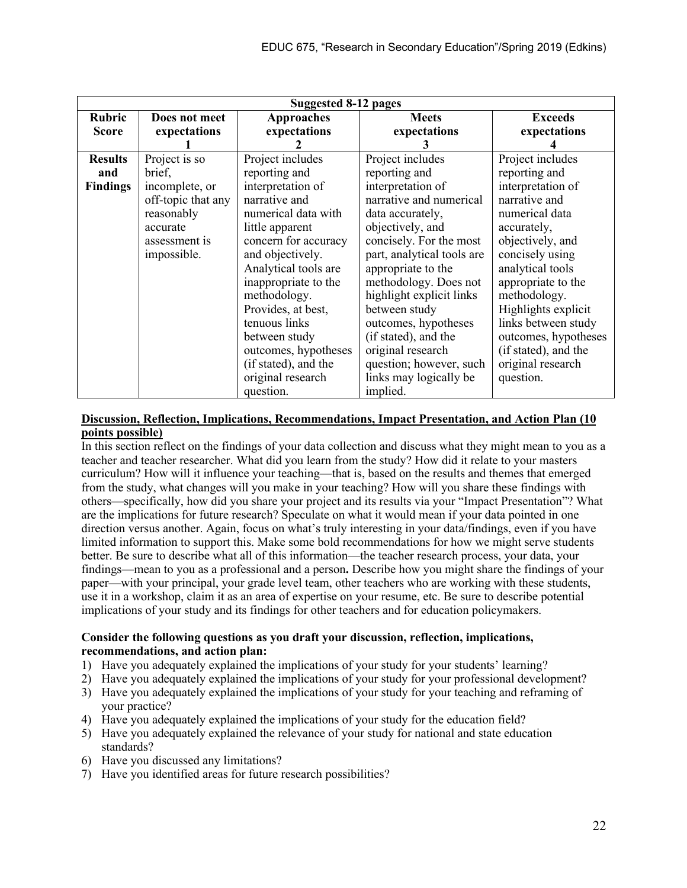|                 | <b>Suggested 8-12 pages</b> |                      |                            |                      |
|-----------------|-----------------------------|----------------------|----------------------------|----------------------|
| <b>Rubric</b>   | Does not meet               | <b>Approaches</b>    | <b>Meets</b>               | <b>Exceeds</b>       |
| <b>Score</b>    | expectations                | expectations         | expectations               | expectations         |
|                 |                             |                      | 3                          |                      |
| <b>Results</b>  | Project is so               | Project includes     | Project includes           | Project includes     |
| and             | brief,                      | reporting and        | reporting and              | reporting and        |
| <b>Findings</b> | incomplete, or              | interpretation of    | interpretation of          | interpretation of    |
|                 | off-topic that any          | narrative and        | narrative and numerical    | narrative and        |
|                 | reasonably                  | numerical data with  | data accurately,           | numerical data       |
|                 | accurate                    | little apparent      | objectively, and           | accurately,          |
|                 | assessment is               | concern for accuracy | concisely. For the most    | objectively, and     |
|                 | impossible.                 | and objectively.     | part, analytical tools are | concisely using      |
|                 |                             | Analytical tools are | appropriate to the         | analytical tools     |
|                 |                             | inappropriate to the | methodology. Does not      | appropriate to the   |
|                 |                             | methodology.         | highlight explicit links   | methodology.         |
|                 |                             | Provides, at best,   | between study              | Highlights explicit  |
|                 |                             | tenuous links        | outcomes, hypotheses       | links between study  |
|                 |                             | between study        | (if stated), and the       | outcomes, hypotheses |
|                 |                             | outcomes, hypotheses | original research          | (if stated), and the |
|                 |                             | (if stated), and the | question; however, such    | original research    |
|                 |                             | original research    | links may logically be     | question.            |
|                 |                             | question.            | implied.                   |                      |

# **Discussion, Reflection, Implications, Recommendations, Impact Presentation, and Action Plan (10 points possible)**

In this section reflect on the findings of your data collection and discuss what they might mean to you as a teacher and teacher researcher. What did you learn from the study? How did it relate to your masters curriculum? How will it influence your teaching—that is, based on the results and themes that emerged from the study, what changes will you make in your teaching? How will you share these findings with others—specifically, how did you share your project and its results via your "Impact Presentation"? What are the implications for future research? Speculate on what it would mean if your data pointed in one direction versus another. Again, focus on what's truly interesting in your data/findings, even if you have limited information to support this. Make some bold recommendations for how we might serve students better. Be sure to describe what all of this information—the teacher research process, your data, your findings—mean to you as a professional and a person**.** Describe how you might share the findings of your paper—with your principal, your grade level team, other teachers who are working with these students, use it in a workshop, claim it as an area of expertise on your resume, etc. Be sure to describe potential implications of your study and its findings for other teachers and for education policymakers.

## **Consider the following questions as you draft your discussion, reflection, implications, recommendations, and action plan:**

- 1) Have you adequately explained the implications of your study for your students' learning?
- 2) Have you adequately explained the implications of your study for your professional development?
- 3) Have you adequately explained the implications of your study for your teaching and reframing of your practice?
- 4) Have you adequately explained the implications of your study for the education field?
- 5) Have you adequately explained the relevance of your study for national and state education standards?
- 6) Have you discussed any limitations?
- 7) Have you identified areas for future research possibilities?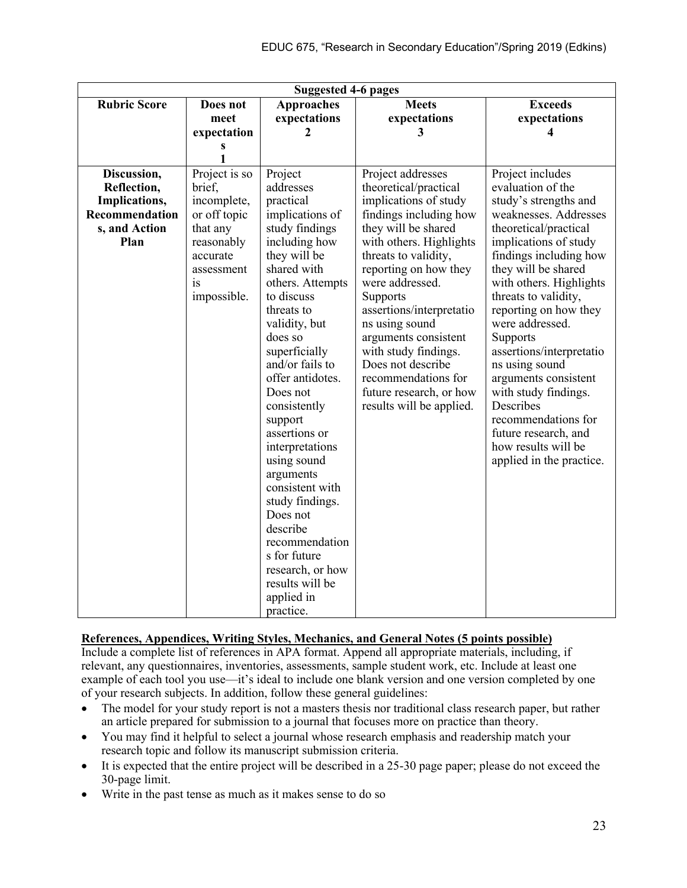| <b>Suggested 4-6 pages</b>                                                             |                                                                                                                                 |                                                                                                                                                                                                                                                                                                                                                                                                                                                                                                                                     |                                                                                                                                                                                                                                                                                                                                                                                                                                  |                                                                                                                                                                                                                                                                                                                                                                                                                                                                                                                    |
|----------------------------------------------------------------------------------------|---------------------------------------------------------------------------------------------------------------------------------|-------------------------------------------------------------------------------------------------------------------------------------------------------------------------------------------------------------------------------------------------------------------------------------------------------------------------------------------------------------------------------------------------------------------------------------------------------------------------------------------------------------------------------------|----------------------------------------------------------------------------------------------------------------------------------------------------------------------------------------------------------------------------------------------------------------------------------------------------------------------------------------------------------------------------------------------------------------------------------|--------------------------------------------------------------------------------------------------------------------------------------------------------------------------------------------------------------------------------------------------------------------------------------------------------------------------------------------------------------------------------------------------------------------------------------------------------------------------------------------------------------------|
| <b>Rubric Score</b>                                                                    | Does not<br>meet<br>expectation<br>1                                                                                            | <b>Approaches</b><br>expectations<br>2                                                                                                                                                                                                                                                                                                                                                                                                                                                                                              | <b>Meets</b><br>expectations<br>3                                                                                                                                                                                                                                                                                                                                                                                                | <b>Exceeds</b><br>expectations<br>4                                                                                                                                                                                                                                                                                                                                                                                                                                                                                |
| Discussion,<br>Reflection,<br>Implications,<br>Recommendation<br>s, and Action<br>Plan | Project is so<br>brief,<br>incomplete,<br>or off topic<br>that any<br>reasonably<br>accurate<br>assessment<br>is<br>impossible. | Project<br>addresses<br>practical<br>implications of<br>study findings<br>including how<br>they will be<br>shared with<br>others. Attempts<br>to discuss<br>threats to<br>validity, but<br>does so<br>superficially<br>and/or fails to<br>offer antidotes.<br>Does not<br>consistently<br>support<br>assertions or<br>interpretations<br>using sound<br>arguments<br>consistent with<br>study findings.<br>Does not<br>describe<br>recommendation<br>s for future<br>research, or how<br>results will be<br>applied in<br>practice. | Project addresses<br>theoretical/practical<br>implications of study<br>findings including how<br>they will be shared<br>with others. Highlights<br>threats to validity,<br>reporting on how they<br>were addressed.<br>Supports<br>assertions/interpretatio<br>ns using sound<br>arguments consistent<br>with study findings.<br>Does not describe<br>recommendations for<br>future research, or how<br>results will be applied. | Project includes<br>evaluation of the<br>study's strengths and<br>weaknesses. Addresses<br>theoretical/practical<br>implications of study<br>findings including how<br>they will be shared<br>with others. Highlights<br>threats to validity,<br>reporting on how they<br>were addressed.<br>Supports<br>assertions/interpretatio<br>ns using sound<br>arguments consistent<br>with study findings.<br>Describes<br>recommendations for<br>future research, and<br>how results will be<br>applied in the practice. |

# **References, Appendices, Writing Styles, Mechanics, and General Notes (5 points possible)**

Include a complete list of references in APA format. Append all appropriate materials, including, if relevant, any questionnaires, inventories, assessments, sample student work, etc. Include at least one example of each tool you use—it's ideal to include one blank version and one version completed by one of your research subjects. In addition, follow these general guidelines:

- The model for your study report is not a masters thesis nor traditional class research paper, but rather an article prepared for submission to a journal that focuses more on practice than theory.
- You may find it helpful to select a journal whose research emphasis and readership match your research topic and follow its manuscript submission criteria.
- It is expected that the entire project will be described in a 25-30 page paper; please do not exceed the 30-page limit.
- Write in the past tense as much as it makes sense to do so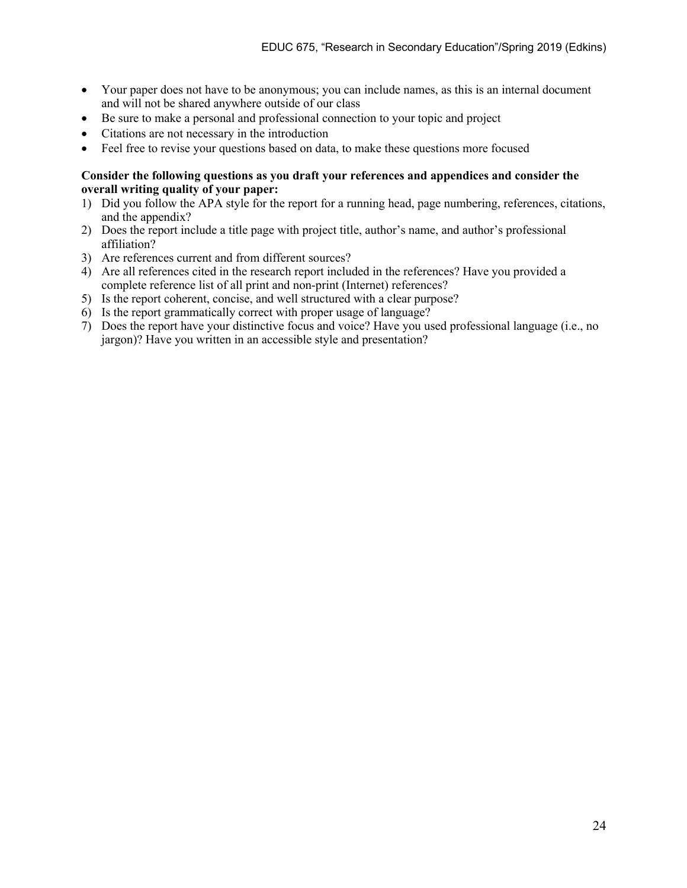- Your paper does not have to be anonymous; you can include names, as this is an internal document and will not be shared anywhere outside of our class
- Be sure to make a personal and professional connection to your topic and project
- Citations are not necessary in the introduction
- Feel free to revise your questions based on data, to make these questions more focused

## **Consider the following questions as you draft your references and appendices and consider the overall writing quality of your paper:**

- 1) Did you follow the APA style for the report for a running head, page numbering, references, citations, and the appendix?
- 2) Does the report include a title page with project title, author's name, and author's professional affiliation?
- 3) Are references current and from different sources?
- 4) Are all references cited in the research report included in the references? Have you provided a complete reference list of all print and non-print (Internet) references?
- 5) Is the report coherent, concise, and well structured with a clear purpose?
- 6) Is the report grammatically correct with proper usage of language?
- 7) Does the report have your distinctive focus and voice? Have you used professional language (i.e., no jargon)? Have you written in an accessible style and presentation?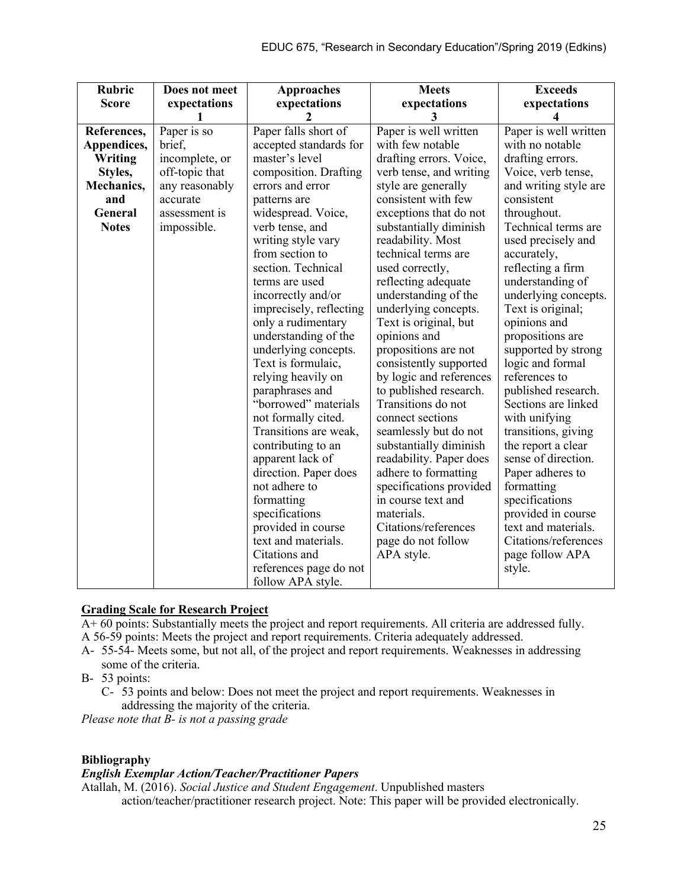| <b>Rubric</b><br><b>Score</b>                                                                    | Does not meet<br>expectations                                                                                           | <b>Approaches</b><br>expectations                                                                                                                                                                                                                                                                                                                                                                                                                                                                                                                                                                                                                                                                                                                      | <b>Meets</b><br>expectations<br>3                                                                                                                                                                                                                                                                                                                                                                                                                                                                                                                                                                                                                                                                                                                                  | <b>Exceeds</b><br>expectations<br>4                                                                                                                                                                                                                                                                                                                                                                                                                                                                                                                                                                                                                                                 |
|--------------------------------------------------------------------------------------------------|-------------------------------------------------------------------------------------------------------------------------|--------------------------------------------------------------------------------------------------------------------------------------------------------------------------------------------------------------------------------------------------------------------------------------------------------------------------------------------------------------------------------------------------------------------------------------------------------------------------------------------------------------------------------------------------------------------------------------------------------------------------------------------------------------------------------------------------------------------------------------------------------|--------------------------------------------------------------------------------------------------------------------------------------------------------------------------------------------------------------------------------------------------------------------------------------------------------------------------------------------------------------------------------------------------------------------------------------------------------------------------------------------------------------------------------------------------------------------------------------------------------------------------------------------------------------------------------------------------------------------------------------------------------------------|-------------------------------------------------------------------------------------------------------------------------------------------------------------------------------------------------------------------------------------------------------------------------------------------------------------------------------------------------------------------------------------------------------------------------------------------------------------------------------------------------------------------------------------------------------------------------------------------------------------------------------------------------------------------------------------|
| References,<br>Appendices,<br>Writing<br>Styles,<br>Mechanics,<br>and<br>General<br><b>Notes</b> | Paper is so<br>brief,<br>incomplete, or<br>off-topic that<br>any reasonably<br>accurate<br>assessment is<br>impossible. | Paper falls short of<br>accepted standards for<br>master's level<br>composition. Drafting<br>errors and error<br>patterns are<br>widespread. Voice,<br>verb tense, and<br>writing style vary<br>from section to<br>section. Technical<br>terms are used<br>incorrectly and/or<br>imprecisely, reflecting<br>only a rudimentary<br>understanding of the<br>underlying concepts.<br>Text is formulaic,<br>relying heavily on<br>paraphrases and<br>"borrowed" materials<br>not formally cited.<br>Transitions are weak,<br>contributing to an<br>apparent lack of<br>direction. Paper does<br>not adhere to<br>formatting<br>specifications<br>provided in course<br>text and materials.<br>Citations and<br>references page do not<br>follow APA style. | Paper is well written<br>with few notable<br>drafting errors. Voice,<br>verb tense, and writing<br>style are generally<br>consistent with few<br>exceptions that do not<br>substantially diminish<br>readability. Most<br>technical terms are<br>used correctly,<br>reflecting adequate<br>understanding of the<br>underlying concepts.<br>Text is original, but<br>opinions and<br>propositions are not<br>consistently supported<br>by logic and references<br>to published research.<br>Transitions do not<br>connect sections<br>seamlessly but do not<br>substantially diminish<br>readability. Paper does<br>adhere to formatting<br>specifications provided<br>in course text and<br>materials.<br>Citations/references<br>page do not follow<br>APA style. | Paper is well written<br>with no notable<br>drafting errors.<br>Voice, verb tense,<br>and writing style are<br>consistent<br>throughout.<br>Technical terms are<br>used precisely and<br>accurately,<br>reflecting a firm<br>understanding of<br>underlying concepts.<br>Text is original;<br>opinions and<br>propositions are<br>supported by strong<br>logic and formal<br>references to<br>published research.<br>Sections are linked<br>with unifying<br>transitions, giving<br>the report a clear<br>sense of direction.<br>Paper adheres to<br>formatting<br>specifications<br>provided in course<br>text and materials.<br>Citations/references<br>page follow APA<br>style. |

# **Grading Scale for Research Project**

A+ 60 points: Substantially meets the project and report requirements. All criteria are addressed fully. A 56-59 points: Meets the project and report requirements. Criteria adequately addressed.

- A- 55-54- Meets some, but not all, of the project and report requirements. Weaknesses in addressing some of the criteria.
- B- 53 points:
	- C- 53 points and below: Does not meet the project and report requirements. Weaknesses in addressing the majority of the criteria.

*Please note that B- is not a passing grade*

# **Bibliography**

# *English Exemplar Action/Teacher/Practitioner Papers*

Atallah, M. (2016). *Social Justice and Student Engagement*. Unpublished masters action/teacher/practitioner research project. Note: This paper will be provided electronically.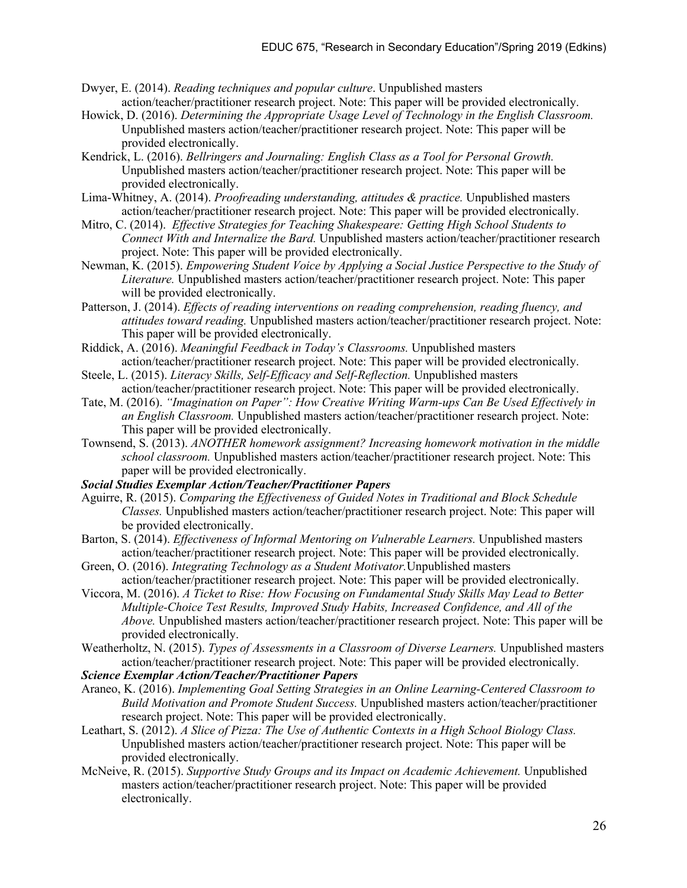- Dwyer, E. (2014). *Reading techniques and popular culture*. Unpublished masters action/teacher/practitioner research project. Note: This paper will be provided electronically.
- Howick, D. (2016). *Determining the Appropriate Usage Level of Technology in the English Classroom.*  Unpublished masters action/teacher/practitioner research project. Note: This paper will be provided electronically.
- Kendrick, L. (2016). *Bellringers and Journaling: English Class as a Tool for Personal Growth.* Unpublished masters action/teacher/practitioner research project. Note: This paper will be provided electronically.
- Lima-Whitney, A. (2014). *Proofreading understanding, attitudes & practice.* Unpublished masters action/teacher/practitioner research project. Note: This paper will be provided electronically.
- Mitro, C. (2014). *Effective Strategies for Teaching Shakespeare: Getting High School Students to Connect With and Internalize the Bard.* Unpublished masters action/teacher/practitioner research project. Note: This paper will be provided electronically.
- Newman, K. (2015). *Empowering Student Voice by Applying a Social Justice Perspective to the Study of Literature.* Unpublished masters action/teacher/practitioner research project. Note: This paper will be provided electronically.
- Patterson, J. (2014). *Effects of reading interventions on reading comprehension, reading fluency, and attitudes toward reading.* Unpublished masters action/teacher/practitioner research project. Note: This paper will be provided electronically.
- Riddick, A. (2016). *Meaningful Feedback in Today's Classrooms.* Unpublished masters action/teacher/practitioner research project. Note: This paper will be provided electronically.
- Steele, L. (2015). *Literacy Skills, Self-Efficacy and Self-Reflection.* Unpublished masters action/teacher/practitioner research project. Note: This paper will be provided electronically.
- Tate, M. (2016). *"Imagination on Paper": How Creative Writing Warm-ups Can Be Used Effectively in an English Classroom.* Unpublished masters action/teacher/practitioner research project. Note: This paper will be provided electronically.
- Townsend, S. (2013). *ANOTHER homework assignment? Increasing homework motivation in the middle school classroom.* Unpublished masters action/teacher/practitioner research project. Note: This paper will be provided electronically.

### *Social Studies Exemplar Action/Teacher/Practitioner Papers*

- Aguirre, R. (2015). *Comparing the Effectiveness of Guided Notes in Traditional and Block Schedule Classes.* Unpublished masters action/teacher/practitioner research project. Note: This paper will be provided electronically.
- Barton, S. (2014). *Effectiveness of Informal Mentoring on Vulnerable Learners.* Unpublished masters action/teacher/practitioner research project. Note: This paper will be provided electronically.
- Green, O. (2016). *Integrating Technology as a Student Motivator.*Unpublished masters action/teacher/practitioner research project. Note: This paper will be provided electronically.
- Viccora, M. (2016). *A Ticket to Rise: How Focusing on Fundamental Study Skills May Lead to Better Multiple-Choice Test Results, Improved Study Habits, Increased Confidence, and All of the Above.* Unpublished masters action/teacher/practitioner research project. Note: This paper will be provided electronically.
- Weatherholtz, N. (2015). *Types of Assessments in a Classroom of Diverse Learners.* Unpublished masters action/teacher/practitioner research project. Note: This paper will be provided electronically.

#### *Science Exemplar Action/Teacher/Practitioner Papers*

- Araneo, K. (2016). *Implementing Goal Setting Strategies in an Online Learning-Centered Classroom to Build Motivation and Promote Student Success.* Unpublished masters action/teacher/practitioner research project. Note: This paper will be provided electronically.
- Leathart, S. (2012). *A Slice of Pizza: The Use of Authentic Contexts in a High School Biology Class.* Unpublished masters action/teacher/practitioner research project. Note: This paper will be provided electronically.
- McNeive, R. (2015). *Supportive Study Groups and its Impact on Academic Achievement.* Unpublished masters action/teacher/practitioner research project. Note: This paper will be provided electronically.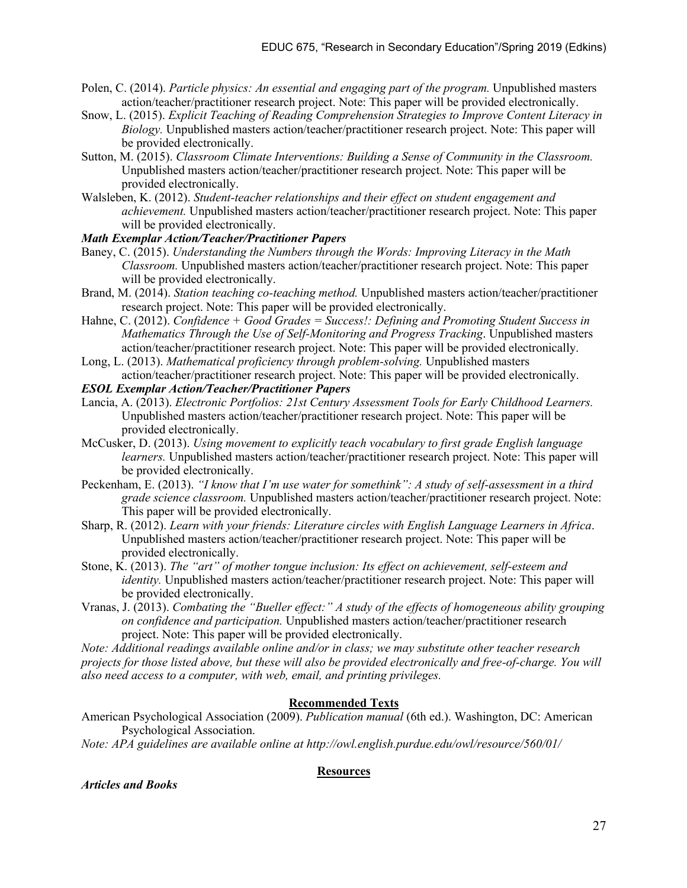- Polen, C. (2014). *Particle physics: An essential and engaging part of the program.* Unpublished masters action/teacher/practitioner research project. Note: This paper will be provided electronically.
- Snow, L. (2015). *Explicit Teaching of Reading Comprehension Strategies to Improve Content Literacy in Biology.* Unpublished masters action/teacher/practitioner research project. Note: This paper will be provided electronically.
- Sutton, M. (2015). *Classroom Climate Interventions: Building a Sense of Community in the Classroom.* Unpublished masters action/teacher/practitioner research project. Note: This paper will be provided electronically.
- Walsleben, K. (2012). *Student-teacher relationships and their effect on student engagement and achievement.* Unpublished masters action/teacher/practitioner research project. Note: This paper will be provided electronically.

### *Math Exemplar Action/Teacher/Practitioner Papers*

- Baney, C. (2015). *Understanding the Numbers through the Words: Improving Literacy in the Math Classroom.* Unpublished masters action/teacher/practitioner research project. Note: This paper will be provided electronically.
- Brand, M. (2014). *Station teaching co-teaching method.* Unpublished masters action/teacher/practitioner research project. Note: This paper will be provided electronically.
- Hahne, C. (2012). *Confidence + Good Grades = Success!: Defining and Promoting Student Success in Mathematics Through the Use of Self-Monitoring and Progress Tracking*. Unpublished masters action/teacher/practitioner research project. Note: This paper will be provided electronically.
- Long, L. (2013). *Mathematical proficiency through problem-solving.* Unpublished masters action/teacher/practitioner research project. Note: This paper will be provided electronically.
- *ESOL Exemplar Action/Teacher/Practitioner Papers*
- Lancia, A. (2013). *Electronic Portfolios: 21st Century Assessment Tools for Early Childhood Learners.* Unpublished masters action/teacher/practitioner research project. Note: This paper will be provided electronically.
- McCusker, D. (2013). *Using movement to explicitly teach vocabulary to first grade English language learners.* Unpublished masters action/teacher/practitioner research project. Note: This paper will be provided electronically.
- Peckenham, E. (2013). *"I know that I'm use water for somethink": A study of self-assessment in a third grade science classroom.* Unpublished masters action/teacher/practitioner research project. Note: This paper will be provided electronically.
- Sharp, R. (2012). *Learn with your friends: Literature circles with English Language Learners in Africa*. Unpublished masters action/teacher/practitioner research project. Note: This paper will be provided electronically.
- Stone, K. (2013). *The "art" of mother tongue inclusion: Its effect on achievement, self-esteem and identity.* Unpublished masters action/teacher/practitioner research project. Note: This paper will be provided electronically.
- Vranas, J. (2013). *Combating the "Bueller effect:" A study of the effects of homogeneous ability grouping on confidence and participation.* Unpublished masters action/teacher/practitioner research project. Note: This paper will be provided electronically.

*Note: Additional readings available online and/or in class; we may substitute other teacher research projects for those listed above, but these will also be provided electronically and free-of-charge. You will also need access to a computer, with web, email, and printing privileges.*

## **Recommended Texts**

American Psychological Association (2009). *Publication manual* (6th ed.). Washington, DC: American Psychological Association.

*Note: APA guidelines are available online at http://owl.english.purdue.edu/owl/resource/560/01/*

# **Resources**

*Articles and Books*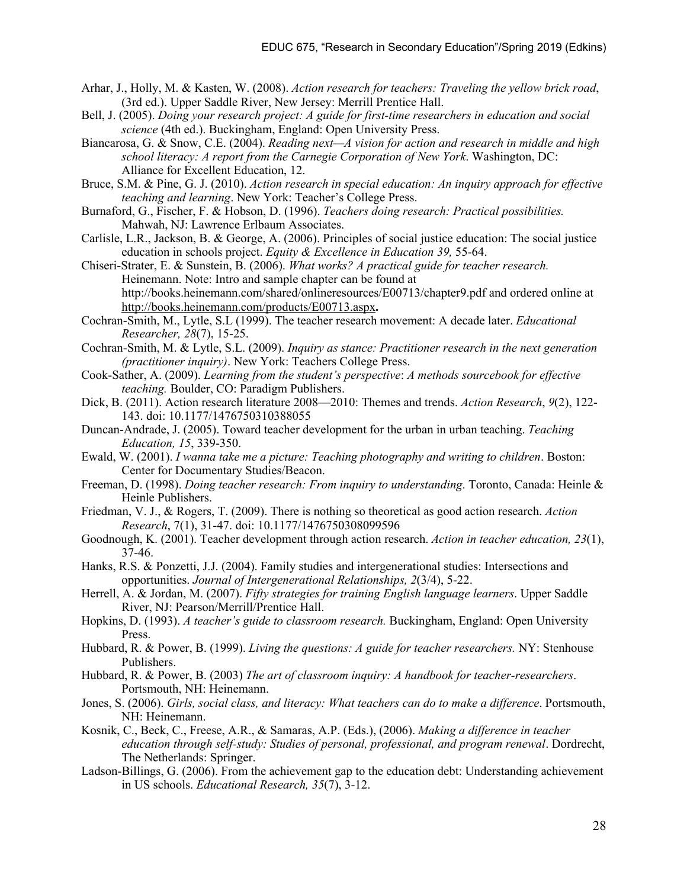- Arhar, J., Holly, M. & Kasten, W. (2008). *Action research for teachers: Traveling the yellow brick road*, (3rd ed.). Upper Saddle River, New Jersey: Merrill Prentice Hall.
- Bell, J. (2005). *Doing your research project: A guide for first-time researchers in education and social science* (4th ed.). Buckingham, England: Open University Press.
- Biancarosa, G. & Snow, C.E. (2004). *Reading next—A vision for action and research in middle and high school literacy: A report from the Carnegie Corporation of New York*. Washington, DC: Alliance for Excellent Education, 12.
- Bruce, S.M. & Pine, G. J. (2010). *Action research in special education: An inquiry approach for effective teaching and learning*. New York: Teacher's College Press.
- Burnaford, G., Fischer, F. & Hobson, D. (1996). *Teachers doing research: Practical possibilities.* Mahwah, NJ: Lawrence Erlbaum Associates.
- Carlisle, L.R., Jackson, B. & George, A. (2006). Principles of social justice education: The social justice education in schools project. *Equity & Excellence in Education 39,* 55-64.
- Chiseri-Strater, E. & Sunstein, B. (2006). *What works? A practical guide for teacher research.*  Heinemann. Note: Intro and sample chapter can be found at http://books.heinemann.com/shared/onlineresources/E00713/chapter9.pdf and ordered online at http://books.heinemann.com/products/E00713.aspx**.**
- Cochran-Smith, M., Lytle, S.L (1999). The teacher research movement: A decade later. *Educational Researcher, 28*(7), 15-25.
- Cochran-Smith, M. & Lytle, S.L. (2009). *Inquiry as stance: Practitioner research in the next generation (practitioner inquiry)*. New York: Teachers College Press.
- Cook-Sather, A. (2009). *Learning from the student's perspective*: *A methods sourcebook for effective teaching.* Boulder, CO: Paradigm Publishers.
- Dick, B. (2011). Action research literature 2008—2010: Themes and trends. *Action Research*, *9*(2), 122- 143. doi: 10.1177/1476750310388055
- Duncan-Andrade, J. (2005). Toward teacher development for the urban in urban teaching. *Teaching Education, 15*, 339-350.
- Ewald, W. (2001). *I wanna take me a picture: Teaching photography and writing to children*. Boston: Center for Documentary Studies/Beacon.
- Freeman, D. (1998). *Doing teacher research: From inquiry to understanding*. Toronto, Canada: Heinle & Heinle Publishers.
- Friedman, V. J., & Rogers, T. (2009). There is nothing so theoretical as good action research. *Action Research*, 7(1), 31-47. doi: 10.1177/1476750308099596
- Goodnough, K. (2001). Teacher development through action research. *Action in teacher education, 23*(1), 37-46.
- Hanks, R.S. & Ponzetti, J.J. (2004). Family studies and intergenerational studies: Intersections and opportunities. *Journal of Intergenerational Relationships, 2*(3/4), 5-22.
- Herrell, A. & Jordan, M. (2007). *Fifty strategies for training English language learners*. Upper Saddle River, NJ: Pearson/Merrill/Prentice Hall.
- Hopkins, D. (1993). *A teacher's guide to classroom research.* Buckingham, England: Open University Press.
- Hubbard, R. & Power, B. (1999). *Living the questions: A guide for teacher researchers.* NY: Stenhouse Publishers.
- Hubbard, R. & Power, B. (2003) *The art of classroom inquiry: A handbook for teacher-researchers*. Portsmouth, NH: Heinemann.
- Jones, S. (2006). *Girls, social class, and literacy: What teachers can do to make a difference*. Portsmouth, NH: Heinemann.
- Kosnik, C., Beck, C., Freese, A.R., & Samaras, A.P. (Eds.), (2006). *Making a difference in teacher education through self-study: Studies of personal, professional, and program renewal*. Dordrecht, The Netherlands: Springer.
- Ladson-Billings, G. (2006). From the achievement gap to the education debt: Understanding achievement in US schools. *Educational Research, 35*(7), 3-12.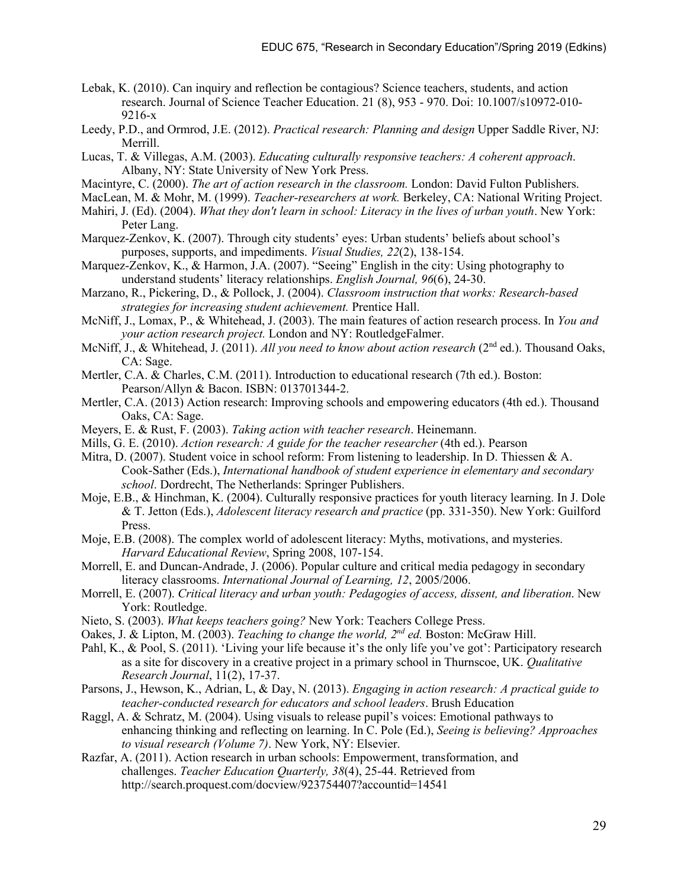- Lebak, K. (2010). Can inquiry and reflection be contagious? Science teachers, students, and action research. Journal of Science Teacher Education. 21 (8), 953 - 970. Doi: 10.1007/s10972-010- 9216-x
- Leedy, P.D., and Ormrod, J.E. (2012). *Practical research: Planning and design* Upper Saddle River, NJ: Merrill.
- Lucas, T. & Villegas, A.M. (2003). *Educating culturally responsive teachers: A coherent approach*. Albany, NY: State University of New York Press.
- Macintyre, C. (2000). *The art of action research in the classroom.* London: David Fulton Publishers.
- MacLean, M. & Mohr, M. (1999). *Teacher-researchers at work.* Berkeley, CA: National Writing Project.
- Mahiri, J. (Ed). (2004). *What they don't learn in school: Literacy in the lives of urban youth*. New York: Peter Lang.
- Marquez-Zenkov, K. (2007). Through city students' eyes: Urban students' beliefs about school's purposes, supports, and impediments. *Visual Studies, 22*(2), 138-154.
- Marquez-Zenkov, K., & Harmon, J.A. (2007). "Seeing" English in the city: Using photography to understand students' literacy relationships. *English Journal, 96*(6), 24-30.
- Marzano, R., Pickering, D., & Pollock, J. (2004). *Classroom instruction that works: Research-based strategies for increasing student achievement.* Prentice Hall.
- McNiff, J., Lomax, P., & Whitehead, J. (2003). The main features of action research process. In *You and your action research project.* London and NY: RoutledgeFalmer.
- McNiff, J., & Whitehead, J. (2011). *All you need to know about action research* (2nd ed.). Thousand Oaks, CA: Sage.
- Mertler, C.A. & Charles, C.M. (2011). Introduction to educational research (7th ed.). Boston: Pearson/Allyn & Bacon. ISBN: 013701344-2.
- Mertler, C.A. (2013) Action research: Improving schools and empowering educators (4th ed.). Thousand Oaks, CA: Sage.
- Meyers, E. & Rust, F. (2003). *Taking action with teacher research*. Heinemann.
- Mills, G. E. (2010). *Action research: A guide for the teacher researcher* (4th ed.). Pearson
- Mitra, D. (2007). Student voice in school reform: From listening to leadership. In D. Thiessen & A. Cook-Sather (Eds.), *International handbook of student experience in elementary and secondary school*. Dordrecht, The Netherlands: Springer Publishers.
- Moje, E.B., & Hinchman, K. (2004). Culturally responsive practices for youth literacy learning. In J. Dole & T. Jetton (Eds.), *Adolescent literacy research and practice* (pp. 331-350). New York: Guilford Press.
- Moje, E.B. (2008). The complex world of adolescent literacy: Myths, motivations, and mysteries. *Harvard Educational Review*, Spring 2008, 107-154.
- Morrell, E. and Duncan-Andrade, J. (2006). Popular culture and critical media pedagogy in secondary literacy classrooms. *International Journal of Learning, 12*, 2005/2006.
- Morrell, E. (2007). *Critical literacy and urban youth: Pedagogies of access, dissent, and liberation*. New York: Routledge.
- Nieto, S. (2003). *What keeps teachers going?* New York: Teachers College Press.
- Oakes, J. & Lipton, M. (2003). *Teaching to change the world, 2nd ed.* Boston: McGraw Hill.
- Pahl, K., & Pool, S. (2011). 'Living your life because it's the only life you've got': Participatory research as a site for discovery in a creative project in a primary school in Thurnscoe, UK. *Qualitative Research Journal*, 11(2), 17-37.
- Parsons, J., Hewson, K., Adrian, L, & Day, N. (2013). *Engaging in action research: A practical guide to teacher-conducted research for educators and school leaders*. Brush Education
- Raggl, A. & Schratz, M. (2004). Using visuals to release pupil's voices: Emotional pathways to enhancing thinking and reflecting on learning. In C. Pole (Ed.), *Seeing is believing? Approaches to visual research (Volume 7)*. New York, NY: Elsevier.
- Razfar, A. (2011). Action research in urban schools: Empowerment, transformation, and challenges. *Teacher Education Quarterly, 38*(4), 25-44. Retrieved from http://search.proquest.com/docview/923754407?accountid=14541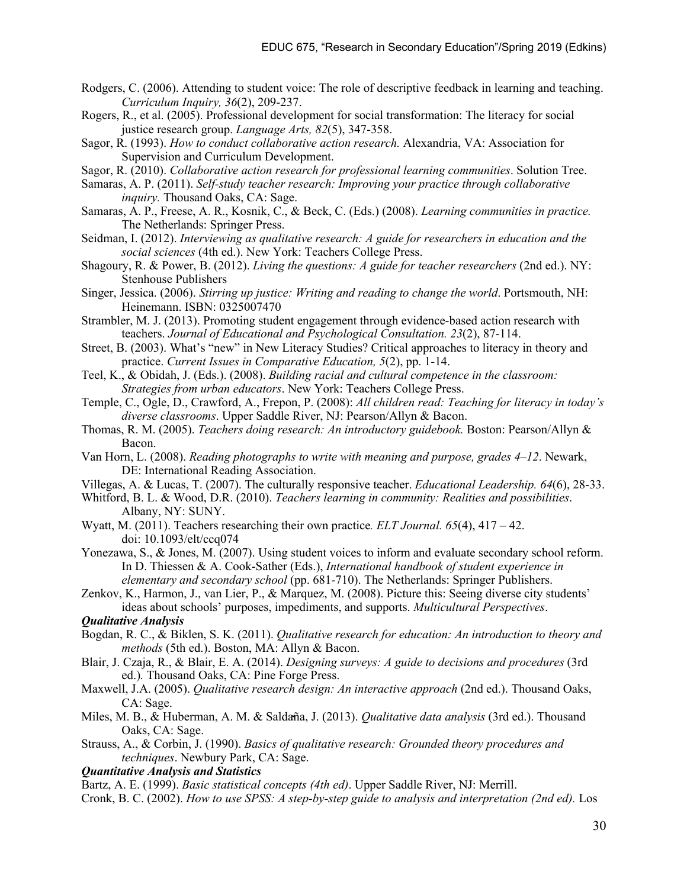- Rodgers, C. (2006). Attending to student voice: The role of descriptive feedback in learning and teaching. *Curriculum Inquiry, 36*(2), 209-237.
- Rogers, R., et al. (2005). Professional development for social transformation: The literacy for social justice research group. *Language Arts, 82*(5), 347-358.
- Sagor, R. (1993). *How to conduct collaborative action research.* Alexandria, VA: Association for Supervision and Curriculum Development.
- Sagor, R. (2010). *Collaborative action research for professional learning communities*. Solution Tree.
- Samaras, A. P. (2011). *Self-study teacher research: Improving your practice through collaborative inquiry.* Thousand Oaks, CA: Sage.
- Samaras, A. P., Freese, A. R., Kosnik, C., & Beck, C. (Eds.) (2008). *Learning communities in practice.*  The Netherlands: Springer Press.
- Seidman, I. (2012). *Interviewing as qualitative research: A guide for researchers in education and the social sciences* (4th ed.). New York: Teachers College Press.
- Shagoury, R. & Power, B. (2012). *Living the questions: A guide for teacher researchers* (2nd ed.). NY: Stenhouse Publishers
- Singer, Jessica. (2006). *Stirring up justice: Writing and reading to change the world*. Portsmouth, NH: Heinemann. ISBN: 0325007470
- Strambler, M. J. (2013). Promoting student engagement through evidence-based action research with teachers. *Journal of Educational and Psychological Consultation. 23*(2), 87-114.
- Street, B. (2003). What's "new" in New Literacy Studies? Critical approaches to literacy in theory and practice. *Current Issues in Comparative Education, 5*(2), pp. 1-14.
- Teel, K., & Obidah, J. (Eds.). (2008). *Building racial and cultural competence in the classroom: Strategies from urban educators*. New York: Teachers College Press.
- Temple, C., Ogle, D., Crawford, A., Frepon, P. (2008): *All children read: Teaching for literacy in today's diverse classrooms*. Upper Saddle River, NJ: Pearson/Allyn & Bacon.
- Thomas, R. M. (2005). *Teachers doing research: An introductory guidebook.* Boston: Pearson/Allyn & Bacon.
- Van Horn, L. (2008). *Reading photographs to write with meaning and purpose, grades 4–12*. Newark, DE: International Reading Association.
- Villegas, A. & Lucas, T. (2007). The culturally responsive teacher. *Educational Leadership. 64*(6), 28-33.
- Whitford, B. L. & Wood, D.R. (2010). *Teachers learning in community: Realities and possibilities*. Albany, NY: SUNY.
- Wyatt, M. (2011). Teachers researching their own practice*. ELT Journal. 65*(4), 417 42. doi: 10.1093/elt/ccq074
- Yonezawa, S., & Jones, M. (2007). Using student voices to inform and evaluate secondary school reform. In D. Thiessen & A. Cook-Sather (Eds.), *International handbook of student experience in elementary and secondary school* (pp. 681-710). The Netherlands: Springer Publishers.
- Zenkov, K., Harmon, J., van Lier, P., & Marquez, M. (2008). Picture this: Seeing diverse city students' ideas about schools' purposes, impediments, and supports. *Multicultural Perspectives*.

#### *Qualitative Analysis*

- Bogdan, R. C., & Biklen, S. K. (2011). *Qualitative research for education: An introduction to theory and methods* (5th ed.). Boston, MA: Allyn & Bacon.
- Blair, J. Czaja, R., & Blair, E. A. (2014). *Designing surveys: A guide to decisions and procedures* (3rd ed.)*.* Thousand Oaks, CA: Pine Forge Press.
- Maxwell, J.A. (2005). *Qualitative research design: An interactive approach* (2nd ed.). Thousand Oaks, CA: Sage.
- Miles, M. B., & Huberman, A. M. & Salda̴ña, J. (2013). *Qualitative data analysis* (3rd ed.). Thousand Oaks, CA: Sage.
- Strauss, A., & Corbin, J. (1990). *Basics of qualitative research: Grounded theory procedures and techniques*. Newbury Park, CA: Sage.

### *Quantitative Analysis and Statistics*

Bartz, A. E. (1999). *Basic statistical concepts (4th ed)*. Upper Saddle River, NJ: Merrill.

Cronk, B. C. (2002). *How to use SPSS: A step-by-step guide to analysis and interpretation (2nd ed).* Los